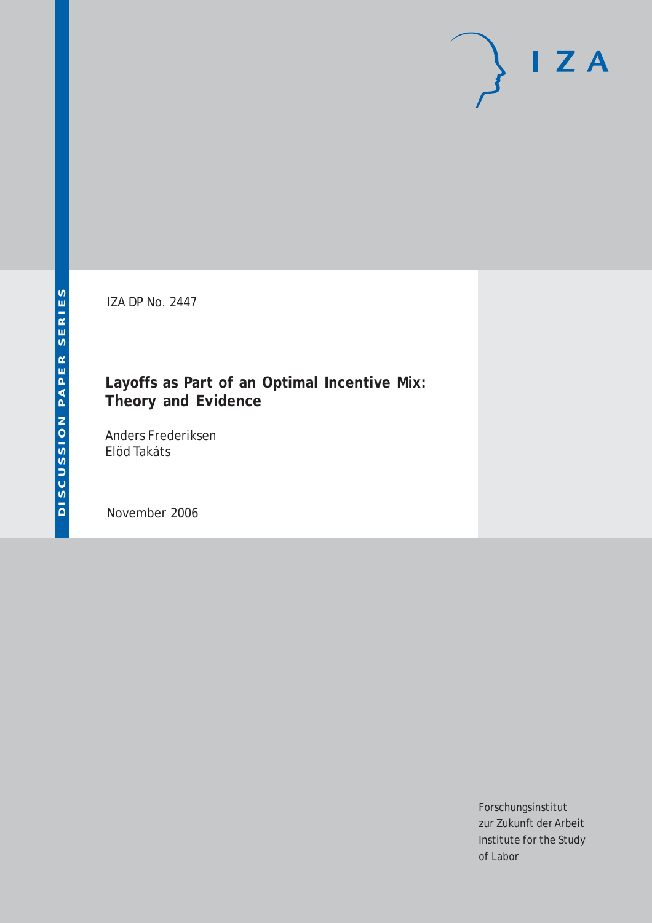# $\mathsf{I}$  Z A

IZA DP No. 2447

# **Layoffs as Part of an Optimal Incentive Mix: Theory and Evidence**

Anders Frederiksen Elöd Takáts

November 2006

Forschungsinstitut zur Zukunft der Arbeit Institute for the Study of Labor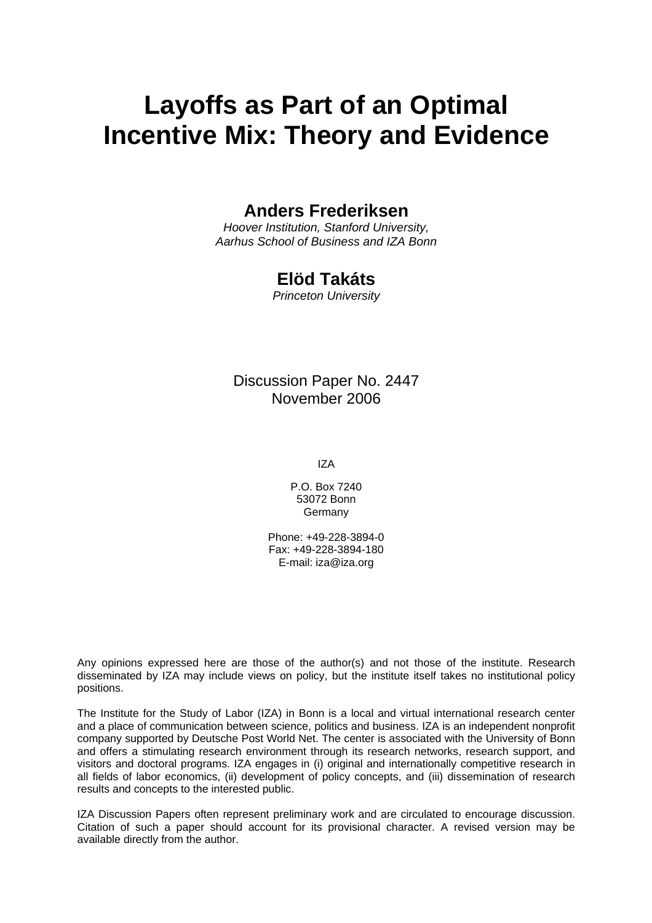# **Layoffs as Part of an Optimal Incentive Mix: Theory and Evidence**

# **Anders Frederiksen**

*Hoover Institution, Stanford University, Aarhus School of Business and IZA Bonn*

# **Elöd Takáts**

*Princeton University* 

# Discussion Paper No. 2447 November 2006

IZA

P.O. Box 7240 53072 Bonn Germany

Phone: +49-228-3894-0 Fax: +49-228-3894-180 E-mail: [iza@iza.org](mailto:iza@iza.org)

Any opinions expressed here are those of the author(s) and not those of the institute. Research disseminated by IZA may include views on policy, but the institute itself takes no institutional policy positions.

The Institute for the Study of Labor (IZA) in Bonn is a local and virtual international research center and a place of communication between science, politics and business. IZA is an independent nonprofit company supported by Deutsche Post World Net. The center is associated with the University of Bonn and offers a stimulating research environment through its research networks, research support, and visitors and doctoral programs. IZA engages in (i) original and internationally competitive research in all fields of labor economics, (ii) development of policy concepts, and (iii) dissemination of research results and concepts to the interested public.

IZA Discussion Papers often represent preliminary work and are circulated to encourage discussion. Citation of such a paper should account for its provisional character. A revised version may be available directly from the author.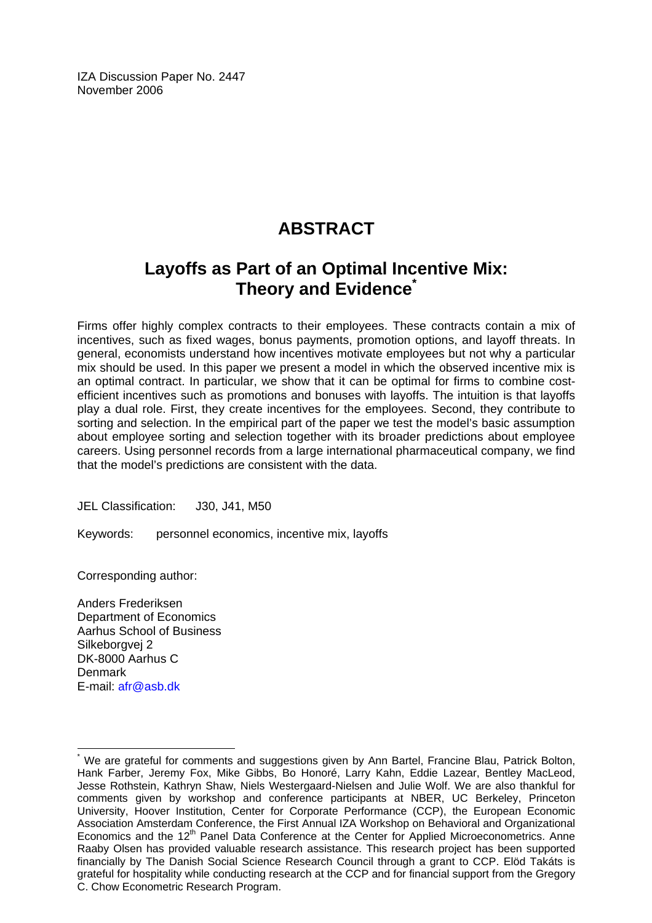IZA Discussion Paper No. 2447 November 2006

# **ABSTRACT**

# **Layoffs as Part of an Optimal Incentive Mix: Theory and Evidence[\\*](#page-2-0)**

Firms offer highly complex contracts to their employees. These contracts contain a mix of incentives, such as fixed wages, bonus payments, promotion options, and layoff threats. In general, economists understand how incentives motivate employees but not why a particular mix should be used. In this paper we present a model in which the observed incentive mix is an optimal contract. In particular, we show that it can be optimal for firms to combine costefficient incentives such as promotions and bonuses with layoffs. The intuition is that layoffs play a dual role. First, they create incentives for the employees. Second, they contribute to sorting and selection. In the empirical part of the paper we test the model's basic assumption about employee sorting and selection together with its broader predictions about employee careers. Using personnel records from a large international pharmaceutical company, we find that the model's predictions are consistent with the data.

JEL Classification: J30, J41, M50

Keywords: personnel economics, incentive mix, layoffs

Corresponding author:

Anders Frederiksen Department of Economics Aarhus School of Business Silkeborgvej 2 DK-8000 Aarhus C Denmark E-mail: [afr@asb.dk](mailto:afr@asb.dk)

 $\overline{a}$ 

<span id="page-2-0"></span><sup>\*</sup> We are grateful for comments and suggestions given by Ann Bartel, Francine Blau, Patrick Bolton, Hank Farber, Jeremy Fox, Mike Gibbs, Bo Honoré, Larry Kahn, Eddie Lazear, Bentley MacLeod, Jesse Rothstein, Kathryn Shaw, Niels Westergaard-Nielsen and Julie Wolf. We are also thankful for comments given by workshop and conference participants at NBER, UC Berkeley, Princeton University, Hoover Institution, Center for Corporate Performance (CCP), the European Economic Association Amsterdam Conference, the First Annual IZA Workshop on Behavioral and Organizational Economics and the 12<sup>th</sup> Panel Data Conference at the Center for Applied Microeconometrics. Anne Raaby Olsen has provided valuable research assistance. This research project has been supported financially by The Danish Social Science Research Council through a grant to CCP. Elöd Takáts is grateful for hospitality while conducting research at the CCP and for financial support from the Gregory C. Chow Econometric Research Program.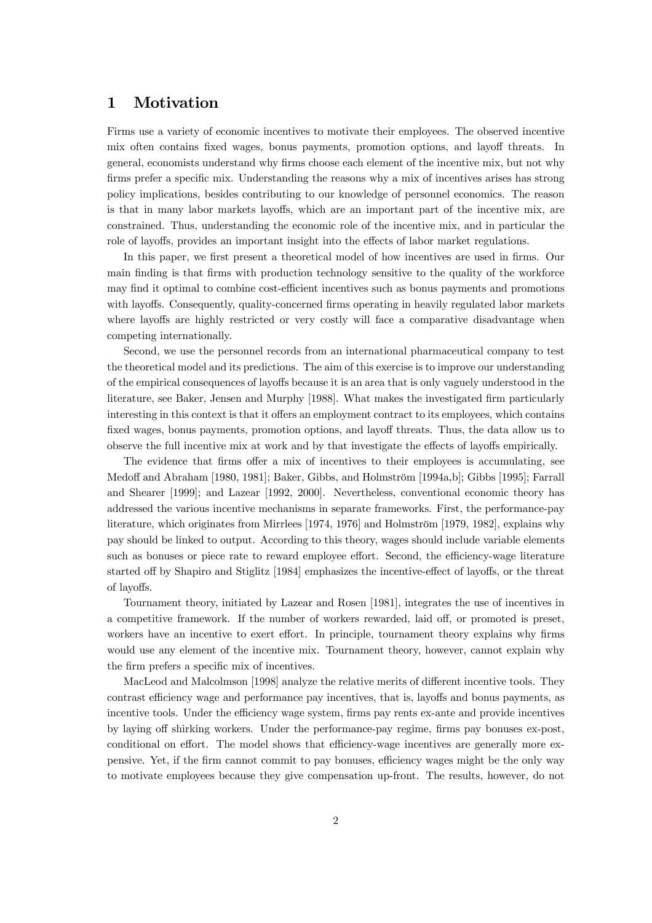# 1 Motivation

Firms use a variety of economic incentives to motivate their employees. The observed incentive mix often contains fixed wages, bonus payments, promotion options, and layoff threats. In general, economists understand why firms choose each element of the incentive mix, but not why firms prefer a specific mix. Understanding the reasons why a mix of incentives arises has strong policy implications, besides contributing to our knowledge of personnel economics. The reason is that in many labor markets layoffs, which are an important part of the incentive mix, are constrained. Thus, understanding the economic role of the incentive mix, and in particular the role of layoffs, provides an important insight into the effects of labor market regulations.

In this paper, we first present a theoretical model of how incentives are used in firms. Our main finding is that firms with production technology sensitive to the quality of the workforce may find it optimal to combine cost-efficient incentives such as bonus payments and promotions with layoffs. Consequently, quality-concerned firms operating in heavily regulated labor markets where layoffs are highly restricted or very costly will face a comparative disadvantage when competing internationally.

Second, we use the personnel records from an international pharmaceutical company to test the theoretical model and its predictions. The aim of this exercise is to improve our understanding of the empirical consequences of layoffs because it is an area that is only vaguely understood in the literature, see Baker, Jensen and Murphy [1988]. What makes the investigated firm particularly interesting in this context is that it offers an employment contract to its employees, which contains fixed wages, bonus payments, promotion options, and layoff threats. Thus, the data allow us to observe the full incentive mix at work and by that investigate the effects of layoffs empirically.

The evidence that firms offer a mix of incentives to their employees is accumulating, see Medoff and Abraham [1980, 1981]; Baker, Gibbs, and Holmström [1994a,b]; Gibbs [1995]; Farrall and Shearer [1999]; and Lazear [1992, 2000]. Nevertheless, conventional economic theory has addressed the various incentive mechanisms in separate frameworks. First, the performance-pay literature, which originates from Mirrlees [1974, 1976] and Holmström [1979, 1982], explains why pay should be linked to output. According to this theory, wages should include variable elements such as bonuses or piece rate to reward employee effort. Second, the efficiency-wage literature started off by Shapiro and Stiglitz [1984] emphasizes the incentive-effect of layoffs, or the threat of layoffs.

Tournament theory, initiated by Lazear and Rosen [1981], integrates the use of incentives in a competitive framework. If the number of workers rewarded, laid off, or promoted is preset, workers have an incentive to exert effort. In principle, tournament theory explains why firms would use any element of the incentive mix. Tournament theory, however, cannot explain why the firm prefers a specific mix of incentives.

MacLeod and Malcolmson [1998] analyze the relative merits of different incentive tools. They contrast efficiency wage and performance pay incentives, that is, layoffs and bonus payments, as incentive tools. Under the efficiency wage system, firms pay rents ex-ante and provide incentives by laying off shirking workers. Under the performance-pay regime, firms pay bonuses ex-post, conditional on effort. The model shows that efficiency-wage incentives are generally more expensive. Yet, if the firm cannot commit to pay bonuses, efficiency wages might be the only way to motivate employees because they give compensation up-front. The results, however, do not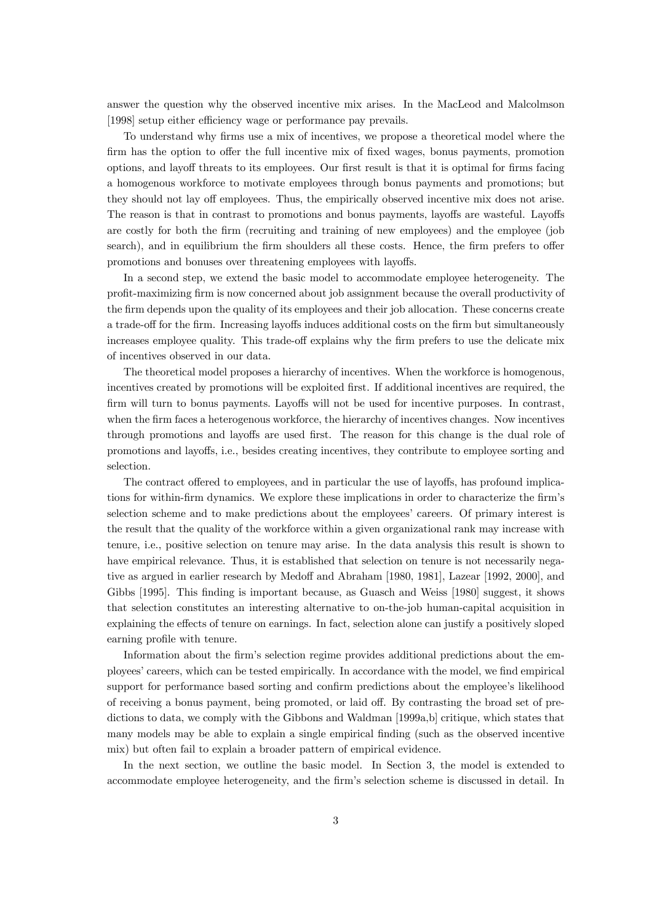answer the question why the observed incentive mix arises. In the MacLeod and Malcolmson [1998] setup either efficiency wage or performance pay prevails.

To understand why firms use a mix of incentives, we propose a theoretical model where the firm has the option to offer the full incentive mix of fixed wages, bonus payments, promotion options, and layoff threats to its employees. Our first result is that it is optimal for firms facing a homogenous workforce to motivate employees through bonus payments and promotions; but they should not lay off employees. Thus, the empirically observed incentive mix does not arise. The reason is that in contrast to promotions and bonus payments, layoffs are wasteful. Layoffs are costly for both the firm (recruiting and training of new employees) and the employee (job search), and in equilibrium the firm shoulders all these costs. Hence, the firm prefers to offer promotions and bonuses over threatening employees with layoffs.

In a second step, we extend the basic model to accommodate employee heterogeneity. The profit-maximizing firm is now concerned about job assignment because the overall productivity of the firm depends upon the quality of its employees and their job allocation. These concerns create a trade-off for the firm. Increasing layoffs induces additional costs on the firm but simultaneously increases employee quality. This trade-off explains why the firm prefers to use the delicate mix of incentives observed in our data.

The theoretical model proposes a hierarchy of incentives. When the workforce is homogenous, incentives created by promotions will be exploited first. If additional incentives are required, the firm will turn to bonus payments. Layoffs will not be used for incentive purposes. In contrast, when the firm faces a heterogenous workforce, the hierarchy of incentives changes. Now incentives through promotions and layoffs are used first. The reason for this change is the dual role of promotions and layoffs, i.e., besides creating incentives, they contribute to employee sorting and selection.

The contract offered to employees, and in particular the use of layoffs, has profound implications for within-firm dynamics. We explore these implications in order to characterize the firm's selection scheme and to make predictions about the employees' careers. Of primary interest is the result that the quality of the workforce within a given organizational rank may increase with tenure, i.e., positive selection on tenure may arise. In the data analysis this result is shown to have empirical relevance. Thus, it is established that selection on tenure is not necessarily negative as argued in earlier research by Medoff and Abraham [1980, 1981], Lazear [1992, 2000], and Gibbs [1995]. This finding is important because, as Guasch and Weiss [1980] suggest, it shows that selection constitutes an interesting alternative to on-the-job human-capital acquisition in explaining the effects of tenure on earnings. In fact, selection alone can justify a positively sloped earning profile with tenure.

Information about the firm's selection regime provides additional predictions about the employees' careers, which can be tested empirically. In accordance with the model, we find empirical support for performance based sorting and confirm predictions about the employee's likelihood of receiving a bonus payment, being promoted, or laid off. By contrasting the broad set of predictions to data, we comply with the Gibbons and Waldman [1999a,b] critique, which states that many models may be able to explain a single empirical finding (such as the observed incentive mix) but often fail to explain a broader pattern of empirical evidence.

In the next section, we outline the basic model. In Section 3, the model is extended to accommodate employee heterogeneity, and the firm's selection scheme is discussed in detail. In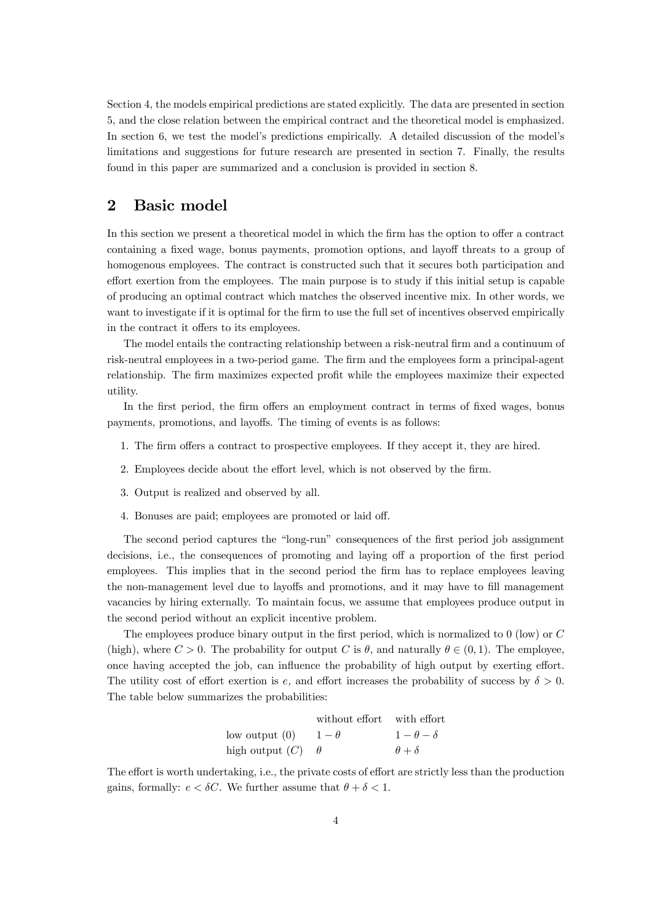Section 4, the models empirical predictions are stated explicitly. The data are presented in section 5, and the close relation between the empirical contract and the theoretical model is emphasized. In section 6, we test the model's predictions empirically. A detailed discussion of the model's limitations and suggestions for future research are presented in section 7. Finally, the results found in this paper are summarized and a conclusion is provided in section 8.

# 2 Basic model

In this section we present a theoretical model in which the firm has the option to offer a contract containing a fixed wage, bonus payments, promotion options, and layoff threats to a group of homogenous employees. The contract is constructed such that it secures both participation and effort exertion from the employees. The main purpose is to study if this initial setup is capable of producing an optimal contract which matches the observed incentive mix. In other words, we want to investigate if it is optimal for the firm to use the full set of incentives observed empirically in the contract it offers to its employees.

The model entails the contracting relationship between a risk-neutral firm and a continuum of risk-neutral employees in a two-period game. The firm and the employees form a principal-agent relationship. The firm maximizes expected profit while the employees maximize their expected utility.

In the first period, the firm offers an employment contract in terms of fixed wages, bonus payments, promotions, and layoffs. The timing of events is as follows:

- 1. The firm offers a contract to prospective employees. If they accept it, they are hired.
- 2. Employees decide about the effort level, which is not observed by the firm.
- 3. Output is realized and observed by all.
- 4. Bonuses are paid; employees are promoted or laid off.

The second period captures the "long-run" consequences of the first period job assignment decisions, i.e., the consequences of promoting and laying off a proportion of the first period employees. This implies that in the second period the firm has to replace employees leaving the non-management level due to layoffs and promotions, and it may have to fill management vacancies by hiring externally. To maintain focus, we assume that employees produce output in the second period without an explicit incentive problem.

The employees produce binary output in the first period, which is normalized to 0 (low) or C (high), where  $C > 0$ . The probability for output C is  $\theta$ , and naturally  $\theta \in (0,1)$ . The employee, once having accepted the job, can influence the probability of high output by exerting effort. The utility cost of effort exertion is e, and effort increases the probability of success by  $\delta > 0$ . The table below summarizes the probabilities:

|                   | without effort with effort |                   |
|-------------------|----------------------------|-------------------|
| $\frac{1}{2}$ (0) | $1-\theta$                 | $1-\theta-\delta$ |
| high output $(C)$ |                            | $\theta + \delta$ |

The effort is worth undertaking, i.e., the private costs of effort are strictly less than the production gains, formally:  $e < \delta C$ . We further assume that  $\theta + \delta < 1$ .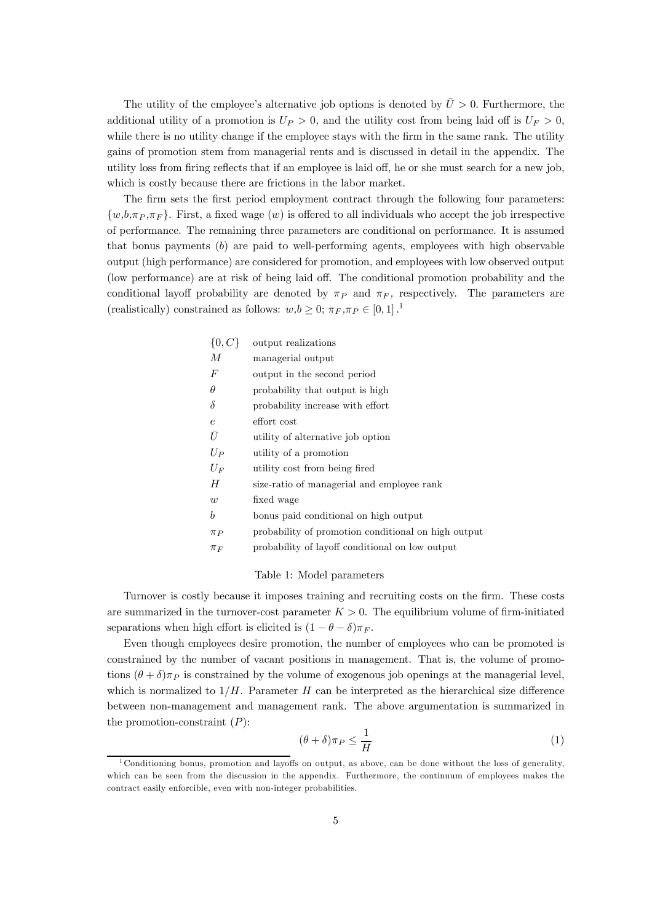The utility of the employee's alternative job options is denoted by  $\overline{U} > 0$ . Furthermore, the additional utility of a promotion is  $U_P > 0$ , and the utility cost from being laid off is  $U_F > 0$ , while there is no utility change if the employee stays with the firm in the same rank. The utility gains of promotion stem from managerial rents and is discussed in detail in the appendix. The utility loss from firing reflects that if an employee is laid off, he or she must search for a new job, which is costly because there are frictions in the labor market.

The firm sets the first period employment contract through the following four parameters:  $\{w, b, \pi_P, \pi_F \}$ . First, a fixed wage  $(w)$  is offered to all individuals who accept the job irrespective of performance. The remaining three parameters are conditional on performance. It is assumed that bonus payments  $(b)$  are paid to well-performing agents, employees with high observable output (high performance) are considered for promotion, and employees with low observed output (low performance) are at risk of being laid off. The conditional promotion probability and the conditional layoff probability are denoted by  $\pi_P$  and  $\pi_F$ , respectively. The parameters are (realistically) constrained as follows:  $w, b \geq 0$ ;  $\pi_F, \pi_P \in [0, 1]$ .<sup>1</sup>

| $\{0, C\}$ | output realizations                                 |
|------------|-----------------------------------------------------|
| М          | managerial output                                   |
| $\,F$      | output in the second period                         |
| $\theta$   | probability that output is high                     |
| $\delta$   | probability increase with effort                    |
| $\epsilon$ | effort cost                                         |
| Ū          | utility of alternative job option                   |
| $U_P$      | utility of a promotion                              |
| $U_F$      | utility cost from being fired                       |
| H          | size-ratio of managerial and employee rank          |
| w          | fixed wage                                          |
| b          | bonus paid conditional on high output               |
| $\pi_P$    | probability of promotion conditional on high output |
| $\pi_F$    | probability of layoff conditional on low output     |
|            |                                                     |

### Table 1: Model parameters

Turnover is costly because it imposes training and recruiting costs on the firm. These costs are summarized in the turnover-cost parameter  $K > 0$ . The equilibrium volume of firm-initiated separations when high effort is elicited is  $(1 - \theta - \delta)\pi_F$ .

Even though employees desire promotion, the number of employees who can be promoted is constrained by the number of vacant positions in management. That is, the volume of promotions  $(\theta + \delta)\pi_P$  is constrained by the volume of exogenous job openings at the managerial level, which is normalized to  $1/H$ . Parameter H can be interpreted as the hierarchical size difference between non-management and management rank. The above argumentation is summarized in the promotion-constraint  $(P)$ :

$$
(\theta + \delta)\pi_P \le \frac{1}{H} \tag{1}
$$

<sup>&</sup>lt;sup>1</sup>Conditioning bonus, promotion and layoffs on output, as above, can be done without the loss of generality, which can be seen from the discussion in the appendix. Furthermore, the continuum of employees makes the contract easily enforcible, even with non-integer probabilities.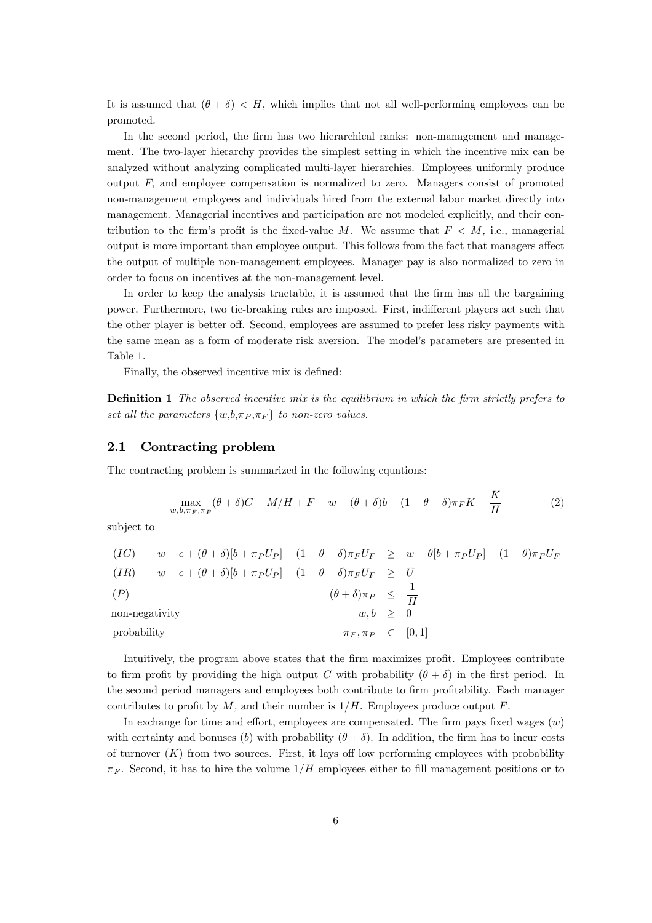It is assumed that  $(\theta + \delta) < H$ , which implies that not all well-performing employees can be promoted.

In the second period, the firm has two hierarchical ranks: non-management and management. The two-layer hierarchy provides the simplest setting in which the incentive mix can be analyzed without analyzing complicated multi-layer hierarchies. Employees uniformly produce output  $F$ , and employee compensation is normalized to zero. Managers consist of promoted non-management employees and individuals hired from the external labor market directly into management. Managerial incentives and participation are not modeled explicitly, and their contribution to the firm's profit is the fixed-value M. We assume that  $F < M$ , i.e., managerial output is more important than employee output. This follows from the fact that managers affect the output of multiple non-management employees. Manager pay is also normalized to zero in order to focus on incentives at the non-management level.

In order to keep the analysis tractable, it is assumed that the firm has all the bargaining power. Furthermore, two tie-breaking rules are imposed. First, indifferent players act such that the other player is better off. Second, employees are assumed to prefer less risky payments with the same mean as a form of moderate risk aversion. The model's parameters are presented in Table 1.

Finally, the observed incentive mix is defined:

Definition 1 The observed incentive mix is the equilibrium in which the firm strictly prefers to set all the parameters  $\{w, b, \pi_P, \pi_F\}$  to non-zero values.

### 2.1 Contracting problem

The contracting problem is summarized in the following equations:

$$
\max_{w,b,\pi_F,\pi_P} (\theta + \delta)C + M/H + F - w - (\theta + \delta)b - (1 - \theta - \delta)\pi_F K - \frac{K}{H}
$$
 (2)

subject to

| (IC)           | $w - e + (\theta + \delta)[b + \pi_P U_P] - (1 - \theta - \delta)\pi_F U_F \geq w + \theta[b + \pi_P U_P] - (1 - \theta)\pi_F U_F$ |  |
|----------------|------------------------------------------------------------------------------------------------------------------------------------|--|
| (IR)           | $w - e + (\theta + \delta)[b + \pi_P U_P] - (1 - \theta - \delta)\pi_F U_F \geq U$                                                 |  |
| (P)            | $(\theta + \delta)\pi_P \leq \frac{1}{H}$                                                                                          |  |
| non-negativity | $w, b \geq 0$                                                                                                                      |  |
| probability    | $\pi_F, \pi_P \in [0,1]$                                                                                                           |  |

Intuitively, the program above states that the firm maximizes profit. Employees contribute to firm profit by providing the high output C with probability  $(\theta + \delta)$  in the first period. In the second period managers and employees both contribute to firm profitability. Each manager contributes to profit by  $M$ , and their number is  $1/H$ . Employees produce output  $F$ .

In exchange for time and effort, employees are compensated. The firm pays fixed wages  $(w)$ with certainty and bonuses (b) with probability  $(\theta + \delta)$ . In addition, the firm has to incur costs of turnover  $(K)$  from two sources. First, it lays off low performing employees with probability  $\pi_F$ . Second, it has to hire the volume  $1/H$  employees either to fill management positions or to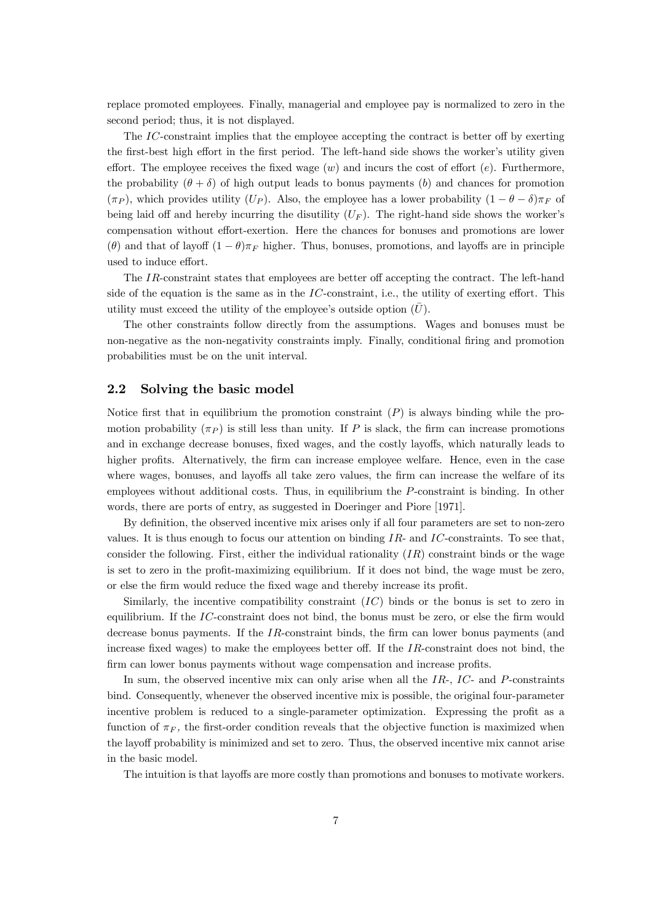replace promoted employees. Finally, managerial and employee pay is normalized to zero in the second period; thus, it is not displayed.

The IC-constraint implies that the employee accepting the contract is better off by exerting the first-best high effort in the first period. The left-hand side shows the worker's utility given effort. The employee receives the fixed wage  $(w)$  and incurs the cost of effort  $(e)$ . Furthermore, the probability  $(\theta + \delta)$  of high output leads to bonus payments (b) and chances for promotion  $(\pi_P)$ , which provides utility  $(U_P)$ . Also, the employee has a lower probability  $(1 - \theta - \delta)\pi_F$  of being laid off and hereby incurring the disutility  $(U_F)$ . The right-hand side shows the worker's compensation without effort-exertion. Here the chances for bonuses and promotions are lower (θ) and that of layoff  $(1 - \theta)\pi_F$  higher. Thus, bonuses, promotions, and layoffs are in principle used to induce effort.

The IR-constraint states that employees are better off accepting the contract. The left-hand side of the equation is the same as in the  $IC$ -constraint, i.e., the utility of exerting effort. This utility must exceed the utility of the employee's outside option  $(\bar{U})$ .

The other constraints follow directly from the assumptions. Wages and bonuses must be non-negative as the non-negativity constraints imply. Finally, conditional firing and promotion probabilities must be on the unit interval.

### 2.2 Solving the basic model

Notice first that in equilibrium the promotion constraint  $(P)$  is always binding while the promotion probability  $(\pi_P)$  is still less than unity. If P is slack, the firm can increase promotions and in exchange decrease bonuses, fixed wages, and the costly layoffs, which naturally leads to higher profits. Alternatively, the firm can increase employee welfare. Hence, even in the case where wages, bonuses, and layoffs all take zero values, the firm can increase the welfare of its employees without additional costs. Thus, in equilibrium the P-constraint is binding. In other words, there are ports of entry, as suggested in Doeringer and Piore [1971].

By definition, the observed incentive mix arises only if all four parameters are set to non-zero values. It is thus enough to focus our attention on binding  $IR$ - and  $IC$ -constraints. To see that, consider the following. First, either the individual rationality  $(IR)$  constraint binds or the wage is set to zero in the profit-maximizing equilibrium. If it does not bind, the wage must be zero, or else the firm would reduce the fixed wage and thereby increase its profit.

Similarly, the incentive compatibility constraint (IC) binds or the bonus is set to zero in equilibrium. If the  $IC$ -constraint does not bind, the bonus must be zero, or else the firm would decrease bonus payments. If the IR-constraint binds, the firm can lower bonus payments (and increase fixed wages) to make the employees better off. If the  $IR$ -constraint does not bind, the firm can lower bonus payments without wage compensation and increase profits.

In sum, the observed incentive mix can only arise when all the  $IR<sub>z</sub>$ ,  $IC<sub>z</sub>$  and  $P<sub>z</sub>$  constraints bind. Consequently, whenever the observed incentive mix is possible, the original four-parameter incentive problem is reduced to a single-parameter optimization. Expressing the profit as a function of  $\pi_F$ , the first-order condition reveals that the objective function is maximized when the layoff probability is minimized and set to zero. Thus, the observed incentive mix cannot arise in the basic model.

The intuition is that layoffs are more costly than promotions and bonuses to motivate workers.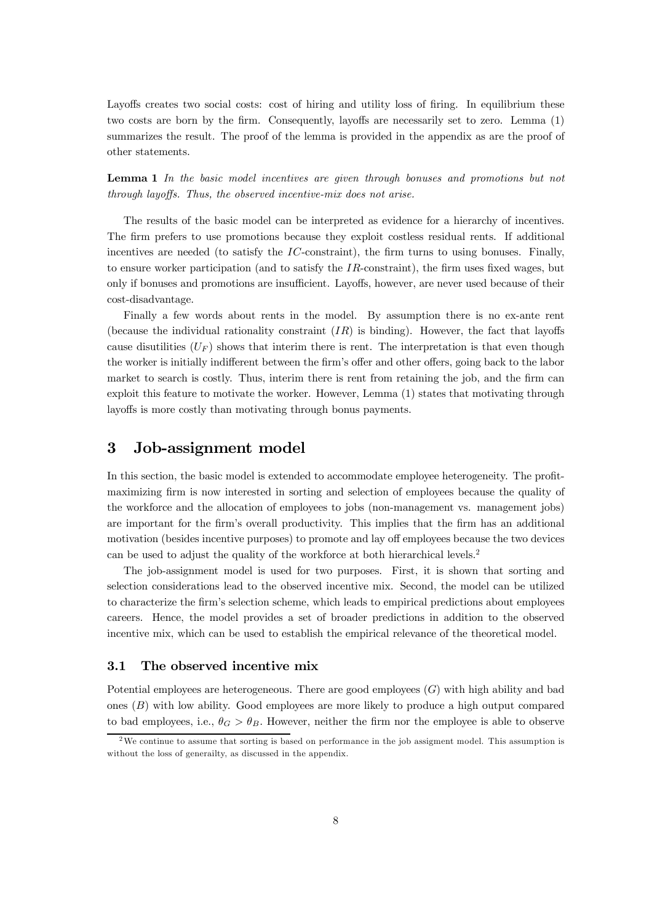Layoffs creates two social costs: cost of hiring and utility loss of firing. In equilibrium these two costs are born by the firm. Consequently, layoffs are necessarily set to zero. Lemma (1) summarizes the result. The proof of the lemma is provided in the appendix as are the proof of other statements.

Lemma 1 In the basic model incentives are given through bonuses and promotions but not through layoffs. Thus, the observed incentive-mix does not arise.

The results of the basic model can be interpreted as evidence for a hierarchy of incentives. The firm prefers to use promotions because they exploit costless residual rents. If additional incentives are needed (to satisfy the  $IC$ -constraint), the firm turns to using bonuses. Finally, to ensure worker participation (and to satisfy the  $IR$ -constraint), the firm uses fixed wages, but only if bonuses and promotions are insufficient. Layoffs, however, are never used because of their cost-disadvantage.

Finally a few words about rents in the model. By assumption there is no ex-ante rent (because the individual rationality constraint  $(IR)$  is binding). However, the fact that layoffs cause disutilities  $(U_F)$  shows that interim there is rent. The interpretation is that even though the worker is initially indifferent between the firm's offer and other offers, going back to the labor market to search is costly. Thus, interim there is rent from retaining the job, and the firm can exploit this feature to motivate the worker. However, Lemma (1) states that motivating through layoffs is more costly than motivating through bonus payments.

# 3 Job-assignment model

In this section, the basic model is extended to accommodate employee heterogeneity. The profitmaximizing firm is now interested in sorting and selection of employees because the quality of the workforce and the allocation of employees to jobs (non-management vs. management jobs) are important for the firm's overall productivity. This implies that the firm has an additional motivation (besides incentive purposes) to promote and lay off employees because the two devices can be used to adjust the quality of the workforce at both hierarchical levels.2

The job-assignment model is used for two purposes. First, it is shown that sorting and selection considerations lead to the observed incentive mix. Second, the model can be utilized to characterize the firm's selection scheme, which leads to empirical predictions about employees careers. Hence, the model provides a set of broader predictions in addition to the observed incentive mix, which can be used to establish the empirical relevance of the theoretical model.

### 3.1 The observed incentive mix

Potential employees are heterogeneous. There are good employees  $(G)$  with high ability and bad ones (B) with low ability. Good employees are more likely to produce a high output compared to bad employees, i.e.,  $\theta_G > \theta_B$ . However, neither the firm nor the employee is able to observe

<sup>&</sup>lt;sup>2</sup>We continue to assume that sorting is based on performance in the job assigment model. This assumption is without the loss of generailty, as discussed in the appendix.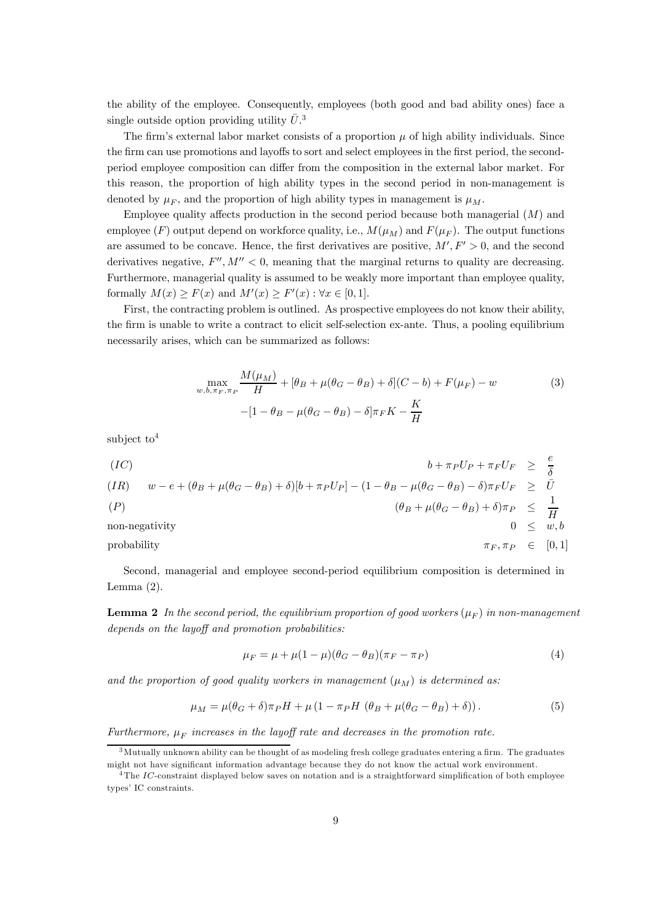the ability of the employee. Consequently, employees (both good and bad ability ones) face a single outside option providing utility  $\bar{U}^3$ .

The firm's external labor market consists of a proportion  $\mu$  of high ability individuals. Since the firm can use promotions and layoffs to sort and select employees in the first period, the secondperiod employee composition can differ from the composition in the external labor market. For this reason, the proportion of high ability types in the second period in non-management is denoted by  $\mu_F$ , and the proportion of high ability types in management is  $\mu_M$ .

Employee quality affects production in the second period because both managerial  $(M)$  and employee (F) output depend on workforce quality, i.e.,  $M(\mu_M)$  and  $F(\mu_F)$ . The output functions are assumed to be concave. Hence, the first derivatives are positive,  $M', F' > 0$ , and the second derivatives negative,  $F'', M'' < 0$ , meaning that the marginal returns to quality are decreasing. Furthermore, managerial quality is assumed to be weakly more important than employee quality, formally  $M(x) \ge F(x)$  and  $M'(x) \ge F'(x)$ :  $\forall x \in [0,1]$ .

First, the contracting problem is outlined. As prospective employees do not know their ability, the firm is unable to write a contract to elicit self-selection ex-ante. Thus, a pooling equilibrium necessarily arises, which can be summarized as follows:

$$
\max_{w, b, \pi_F, \pi_P} \frac{M(\mu_M)}{H} + [\theta_B + \mu(\theta_G - \theta_B) + \delta](C - b) + F(\mu_F) - w
$$
(3)  
–[1 - \theta\_B - \mu(\theta\_G - \theta\_B) - \delta]\pi\_F K -  $\frac{K}{H}$ 

subject to  $4$ 

(IC)  
\n
$$
b + \pi_P U_P + \pi_F U_F \geq \frac{e}{\delta}
$$
\n
$$
(IR) \quad w - e + (\theta_B + \mu(\theta_G - \theta_B) + \delta)[b + \pi_P U_P] - (1 - \theta_B - \mu(\theta_G - \theta_B) - \delta)\pi_F U_F \geq \overline{U}
$$
\n
$$
(P) \quad (\theta_B + \mu(\theta_G - \theta_B) + \delta)\pi_P \leq \frac{1}{H}
$$
\nnon-negativity\n
$$
0 \leq w, b
$$
\nprobability\n
$$
\pi_F, \pi_P \in [0, 1]
$$

Second, managerial and employee second-period equilibrium composition is determined in Lemma  $(2)$ .

**Lemma 2** In the second period, the equilibrium proportion of good workers  $(\mu_F)$  in non-management depends on the layoff and promotion probabilities:

$$
\mu_F = \mu + \mu (1 - \mu)(\theta_G - \theta_B)(\pi_F - \pi_P) \tag{4}
$$

and the proportion of good quality workers in management  $(\mu_M)$  is determined as:

$$
\mu_M = \mu(\theta_G + \delta)\pi_P H + \mu(1 - \pi_P H (\theta_B + \mu(\theta_G - \theta_B) + \delta)).
$$
\n(5)

Furthermore,  $\mu_F$  increases in the layoff rate and decreases in the promotion rate.

 $3$ Mutually unknown ability can be thought of as modeling fresh college graduates entering a firm. The graduates might not have significant information advantage because they do not know the actual work environment.

 ${}^{4}$ The IC-constraint displayed below saves on notation and is a straightforward simplification of both employee types' IC constraints.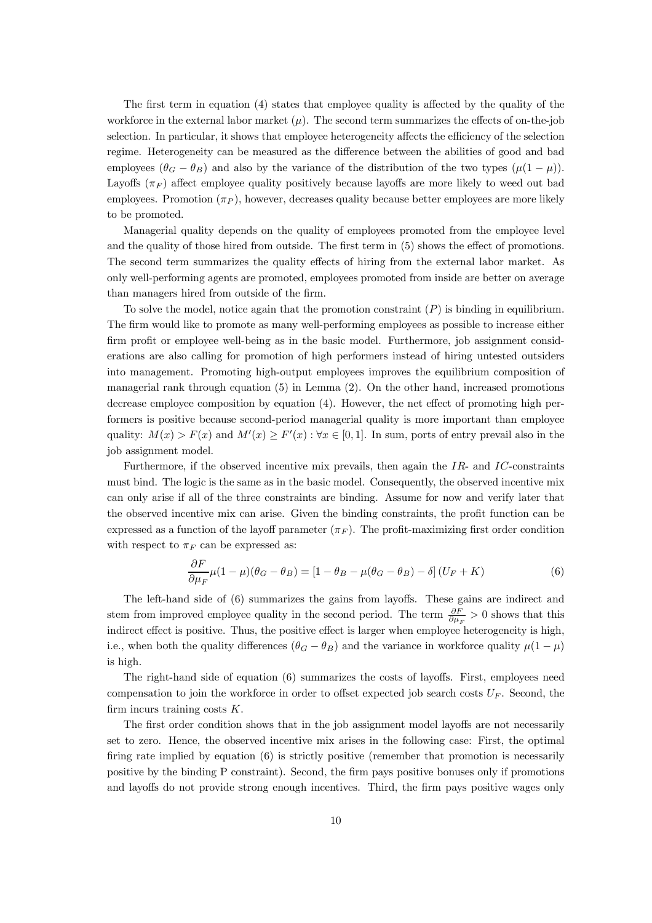The first term in equation (4) states that employee quality is affected by the quality of the workforce in the external labor market  $(\mu)$ . The second term summarizes the effects of on-the-job selection. In particular, it shows that employee heterogeneity affects the efficiency of the selection regime. Heterogeneity can be measured as the difference between the abilities of good and bad employees  $(\theta_G - \theta_B)$  and also by the variance of the distribution of the two types  $(\mu(1 - \mu))$ . Layoffs  $(\pi_F)$  affect employee quality positively because layoffs are more likely to weed out bad employees. Promotion  $(\pi_P)$ , however, decreases quality because better employees are more likely to be promoted.

Managerial quality depends on the quality of employees promoted from the employee level and the quality of those hired from outside. The first term in (5) shows the effect of promotions. The second term summarizes the quality effects of hiring from the external labor market. As only well-performing agents are promoted, employees promoted from inside are better on average than managers hired from outside of the firm.

To solve the model, notice again that the promotion constraint  $(P)$  is binding in equilibrium. The firm would like to promote as many well-performing employees as possible to increase either firm profit or employee well-being as in the basic model. Furthermore, job assignment considerations are also calling for promotion of high performers instead of hiring untested outsiders into management. Promoting high-output employees improves the equilibrium composition of managerial rank through equation (5) in Lemma (2). On the other hand, increased promotions decrease employee composition by equation (4). However, the net effect of promoting high performers is positive because second-period managerial quality is more important than employee quality:  $M(x) > F(x)$  and  $M'(x) \ge F'(x)$ :  $\forall x \in [0,1]$ . In sum, ports of entry prevail also in the job assignment model.

Furthermore, if the observed incentive mix prevails, then again the  $IR$ - and  $IC$ -constraints must bind. The logic is the same as in the basic model. Consequently, the observed incentive mix can only arise if all of the three constraints are binding. Assume for now and verify later that the observed incentive mix can arise. Given the binding constraints, the profit function can be expressed as a function of the layoff parameter  $(\pi_F)$ . The profit-maximizing first order condition with respect to  $\pi_F$  can be expressed as:

$$
\frac{\partial F}{\partial \mu_F} \mu (1 - \mu)(\theta_G - \theta_B) = [1 - \theta_B - \mu(\theta_G - \theta_B) - \delta](U_F + K)
$$
\n(6)

The left-hand side of (6) summarizes the gains from layoffs. These gains are indirect and stem from improved employee quality in the second period. The term  $\frac{\partial F}{\partial \mu_F} > 0$  shows that this indirect effect is positive. Thus, the positive effect is larger when employee heterogeneity is high, i.e., when both the quality differences  $(\theta_G - \theta_B)$  and the variance in workforce quality  $\mu(1 - \mu)$ is high.

The right-hand side of equation (6) summarizes the costs of layoffs. First, employees need compensation to join the workforce in order to offset expected job search costs  $U_F$ . Second, the firm incurs training costs  $K$ .

The first order condition shows that in the job assignment model layoffs are not necessarily set to zero. Hence, the observed incentive mix arises in the following case: First, the optimal firing rate implied by equation (6) is strictly positive (remember that promotion is necessarily positive by the binding P constraint). Second, the firm pays positive bonuses only if promotions and layoffs do not provide strong enough incentives. Third, the firm pays positive wages only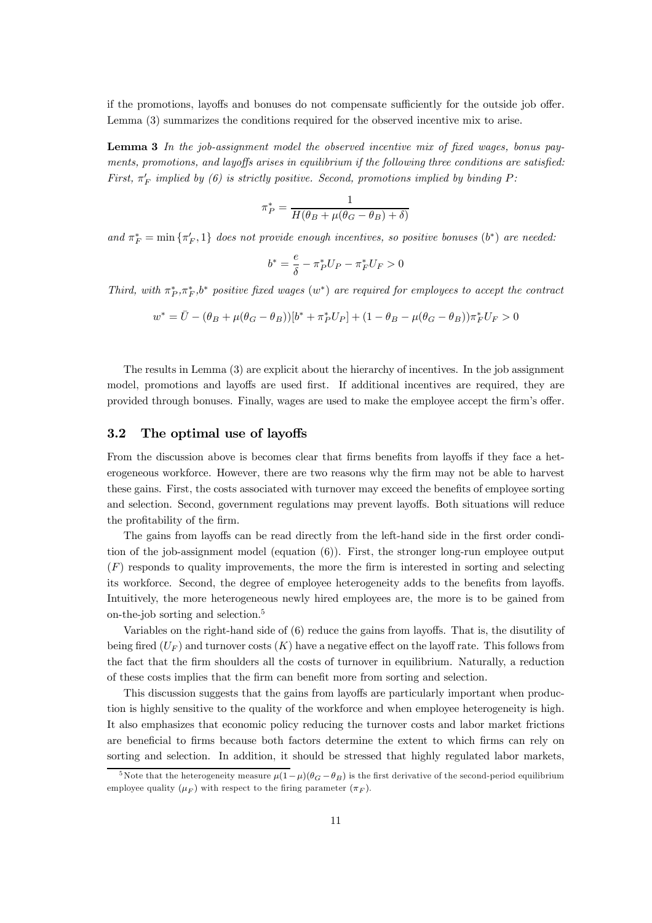if the promotions, layoffs and bonuses do not compensate sufficiently for the outside job offer. Lemma (3) summarizes the conditions required for the observed incentive mix to arise.

Lemma 3 In the job-assignment model the observed incentive mix of fixed wages, bonus payments, promotions, and layoffs arises in equilibrium if the following three conditions are satisfied: First,  $\pi'_F$  implied by (6) is strictly positive. Second, promotions implied by binding P:

$$
\pi_P^* = \frac{1}{H(\theta_B + \mu(\theta_G - \theta_B) + \delta)}
$$

and  $\pi_F^* = \min \{ \pi'_F, 1 \}$  does not provide enough incentives, so positive bonuses  $(b^*)$  are needed:

$$
b^* = \frac{e}{\delta} - \pi_P^* U_P - \pi_F^* U_F > 0
$$

Third, with  $\pi_P^*, \pi_F^*, b^*$  positive fixed wages  $(w^*)$  are required for employees to accept the contract

$$
w^* = \bar{U} - (\theta_B + \mu(\theta_G - \theta_B))[b^* + \pi_P^* U_P] + (1 - \theta_B - \mu(\theta_G - \theta_B))\pi_F^* U_F > 0
$$

The results in Lemma (3) are explicit about the hierarchy of incentives. In the job assignment model, promotions and layoffs are used first. If additional incentives are required, they are provided through bonuses. Finally, wages are used to make the employee accept the firm's offer.

### 3.2 The optimal use of layoffs

From the discussion above is becomes clear that firms benefits from layoffs if they face a heterogeneous workforce. However, there are two reasons why the firm may not be able to harvest these gains. First, the costs associated with turnover may exceed the benefits of employee sorting and selection. Second, government regulations may prevent layoffs. Both situations will reduce the profitability of the firm.

The gains from layoffs can be read directly from the left-hand side in the first order condition of the job-assignment model (equation (6)). First, the stronger long-run employee output (F) responds to quality improvements, the more the firm is interested in sorting and selecting its workforce. Second, the degree of employee heterogeneity adds to the benefits from layoffs. Intuitively, the more heterogeneous newly hired employees are, the more is to be gained from on-the-job sorting and selection.5

Variables on the right-hand side of (6) reduce the gains from layoffs. That is, the disutility of being fired  $(U_F)$  and turnover costs  $(K)$  have a negative effect on the layoff rate. This follows from the fact that the firm shoulders all the costs of turnover in equilibrium. Naturally, a reduction of these costs implies that the firm can benefit more from sorting and selection.

This discussion suggests that the gains from layoffs are particularly important when production is highly sensitive to the quality of the workforce and when employee heterogeneity is high. It also emphasizes that economic policy reducing the turnover costs and labor market frictions are beneficial to firms because both factors determine the extent to which firms can rely on sorting and selection. In addition, it should be stressed that highly regulated labor markets,

<sup>&</sup>lt;sup>5</sup>Note that the heterogeneity measure  $\mu(1-\mu)(\theta_{G}-\theta_{B})$  is the first derivative of the second-period equilibrium employee quality  $(\mu_F)$  with respect to the firing parameter  $(\pi_F)$ .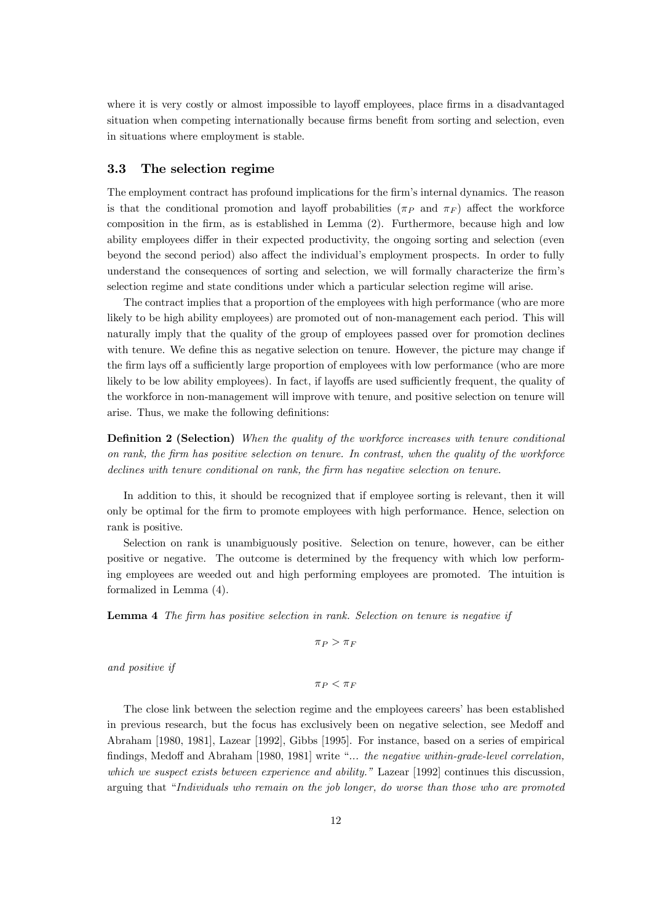where it is very costly or almost impossible to layoff employees, place firms in a disadvantaged situation when competing internationally because firms benefit from sorting and selection, even in situations where employment is stable.

### 3.3 The selection regime

The employment contract has profound implications for the firm's internal dynamics. The reason is that the conditional promotion and layoff probabilities ( $\pi_P$  and  $\pi_F$ ) affect the workforce composition in the firm, as is established in Lemma (2). Furthermore, because high and low ability employees differ in their expected productivity, the ongoing sorting and selection (even beyond the second period) also affect the individual's employment prospects. In order to fully understand the consequences of sorting and selection, we will formally characterize the firm's selection regime and state conditions under which a particular selection regime will arise.

The contract implies that a proportion of the employees with high performance (who are more likely to be high ability employees) are promoted out of non-management each period. This will naturally imply that the quality of the group of employees passed over for promotion declines with tenure. We define this as negative selection on tenure. However, the picture may change if the firm lays off a sufficiently large proportion of employees with low performance (who are more likely to be low ability employees). In fact, if layoffs are used sufficiently frequent, the quality of the workforce in non-management will improve with tenure, and positive selection on tenure will arise. Thus, we make the following definitions:

**Definition 2 (Selection)** When the quality of the workforce increases with tenure conditional on rank, the firm has positive selection on tenure. In contrast, when the quality of the workforce declines with tenure conditional on rank, the firm has negative selection on tenure.

In addition to this, it should be recognized that if employee sorting is relevant, then it will only be optimal for the firm to promote employees with high performance. Hence, selection on rank is positive.

Selection on rank is unambiguously positive. Selection on tenure, however, can be either positive or negative. The outcome is determined by the frequency with which low performing employees are weeded out and high performing employees are promoted. The intuition is formalized in Lemma (4).

Lemma 4 The firm has positive selection in rank. Selection on tenure is negative if

 $\pi_P > \pi_F$ 

and positive if

 $\pi_P < \pi_F$ 

The close link between the selection regime and the employees careers' has been established in previous research, but the focus has exclusively been on negative selection, see Medoff and Abraham [1980, 1981], Lazear [1992], Gibbs [1995]. For instance, based on a series of empirical findings, Medoff and Abraham [1980, 1981] write "... the negative within-grade-level correlation, which we suspect exists between experience and ability." Lazear [1992] continues this discussion, arguing that "Individuals who remain on the job longer, do worse than those who are promoted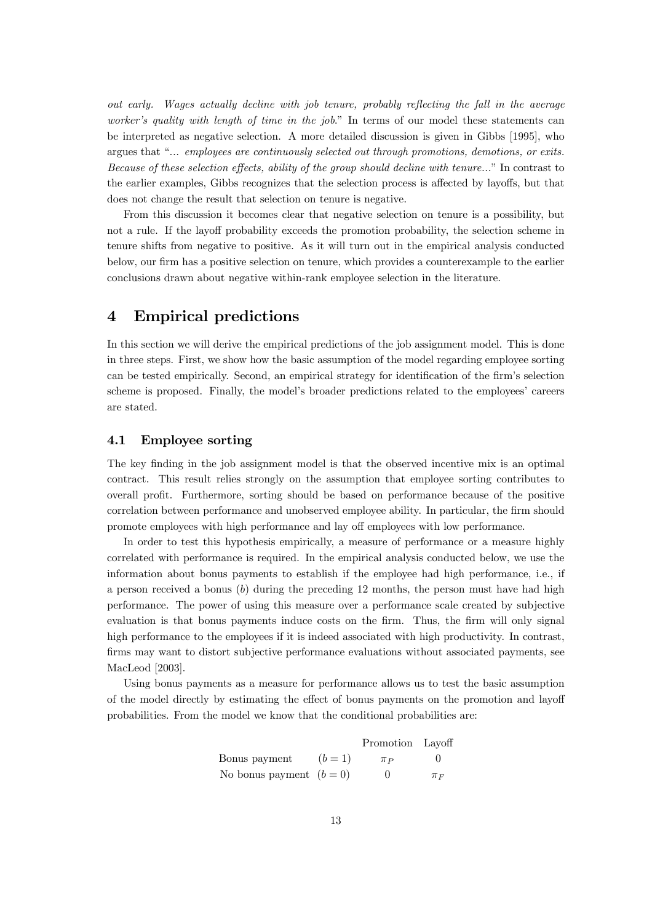out early. Wages actually decline with job tenure, probably reflecting the fall in the average worker's quality with length of time in the job." In terms of our model these statements can be interpreted as negative selection. A more detailed discussion is given in Gibbs [1995], who argues that "... employees are continuously selected out through promotions, demotions, or exits. Because of these selection effects, ability of the group should decline with tenure..." In contrast to the earlier examples, Gibbs recognizes that the selection process is affected by layoffs, but that does not change the result that selection on tenure is negative.

From this discussion it becomes clear that negative selection on tenure is a possibility, but not a rule. If the layoff probability exceeds the promotion probability, the selection scheme in tenure shifts from negative to positive. As it will turn out in the empirical analysis conducted below, our firm has a positive selection on tenure, which provides a counterexample to the earlier conclusions drawn about negative within-rank employee selection in the literature.

# 4 Empirical predictions

In this section we will derive the empirical predictions of the job assignment model. This is done in three steps. First, we show how the basic assumption of the model regarding employee sorting can be tested empirically. Second, an empirical strategy for identification of the firm's selection scheme is proposed. Finally, the model's broader predictions related to the employees' careers are stated.

### 4.1 Employee sorting

The key finding in the job assignment model is that the observed incentive mix is an optimal contract. This result relies strongly on the assumption that employee sorting contributes to overall profit. Furthermore, sorting should be based on performance because of the positive correlation between performance and unobserved employee ability. In particular, the firm should promote employees with high performance and lay off employees with low performance.

In order to test this hypothesis empirically, a measure of performance or a measure highly correlated with performance is required. In the empirical analysis conducted below, we use the information about bonus payments to establish if the employee had high performance, i.e., if a person received a bonus (b) during the preceding 12 months, the person must have had high performance. The power of using this measure over a performance scale created by subjective evaluation is that bonus payments induce costs on the firm. Thus, the firm will only signal high performance to the employees if it is indeed associated with high productivity. In contrast, firms may want to distort subjective performance evaluations without associated payments, see MacLeod [2003].

Using bonus payments as a measure for performance allows us to test the basic assumption of the model directly by estimating the effect of bonus payments on the promotion and layoff probabilities. From the model we know that the conditional probabilities are:

|                          |         | Promotion Layoff |         |
|--------------------------|---------|------------------|---------|
| Bonus payment            | $(b=1)$ | $\pi_P$          |         |
| No bonus payment $(b=0)$ |         | $^{\circ}$       | $\pi_F$ |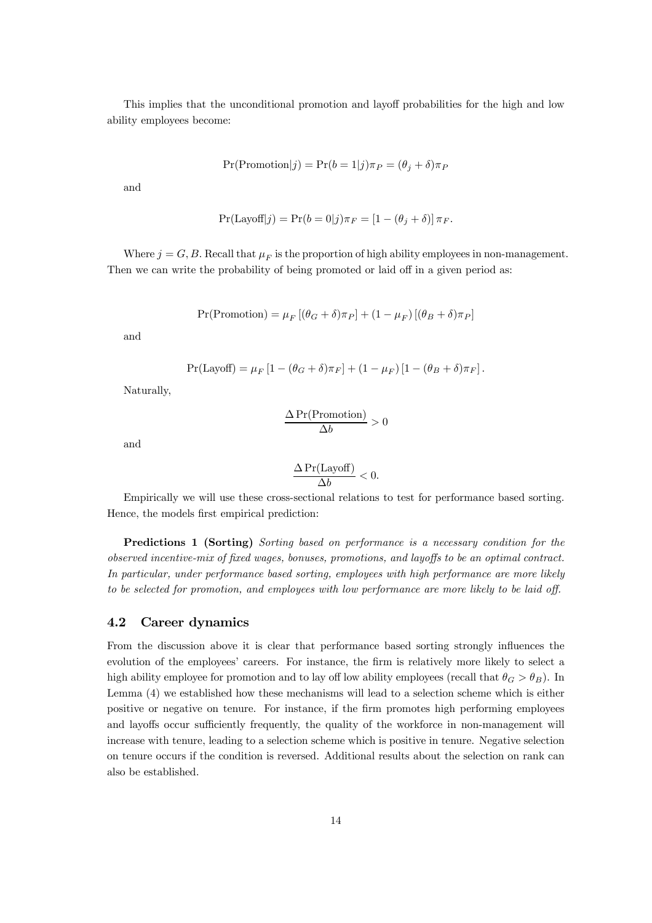This implies that the unconditional promotion and layoff probabilities for the high and low ability employees become:

$$
Pr(Promotion|j) = Pr(b = 1|j)\pi_P = (\theta_j + \delta)\pi_P
$$

and

$$
Pr(\text{Layout}[j]) = Pr(b=0|j)\pi_F = [1 - (\theta_j + \delta)]\pi_F.
$$

Where  $j = G, B$ . Recall that  $\mu_F$  is the proportion of high ability employees in non-management. Then we can write the probability of being promoted or laid off in a given period as:

$$
Pr(Promotion) = \mu_F [(\theta_G + \delta)\pi_P] + (1 - \mu_F) [(\theta_B + \delta)\pi_P]
$$

and

$$
Pr(\text{Layout}) = \mu_F \left[ 1 - (\theta_G + \delta)\pi_F \right] + (1 - \mu_F) \left[ 1 - (\theta_B + \delta)\pi_F \right].
$$

Naturally,

$$
\frac{\Delta \Pr(\text{Promotion})}{\Delta b} > 0
$$

and

$$
\frac{\Delta \Pr(\text{Layout})}{\Delta b} < 0.
$$

Empirically we will use these cross-sectional relations to test for performance based sorting. Hence, the models first empirical prediction:

Predictions 1 (Sorting) Sorting based on performance is a necessary condition for the observed incentive-mix of fixed wages, bonuses, promotions, and layoffs to be an optimal contract. In particular, under performance based sorting, employees with high performance are more likely to be selected for promotion, and employees with low performance are more likely to be laid off.

### 4.2 Career dynamics

From the discussion above it is clear that performance based sorting strongly influences the evolution of the employees' careers. For instance, the firm is relatively more likely to select a high ability employee for promotion and to lay off low ability employees (recall that  $\theta_G > \theta_B$ ). In Lemma (4) we established how these mechanisms will lead to a selection scheme which is either positive or negative on tenure. For instance, if the firm promotes high performing employees and layoffs occur sufficiently frequently, the quality of the workforce in non-management will increase with tenure, leading to a selection scheme which is positive in tenure. Negative selection on tenure occurs if the condition is reversed. Additional results about the selection on rank can also be established.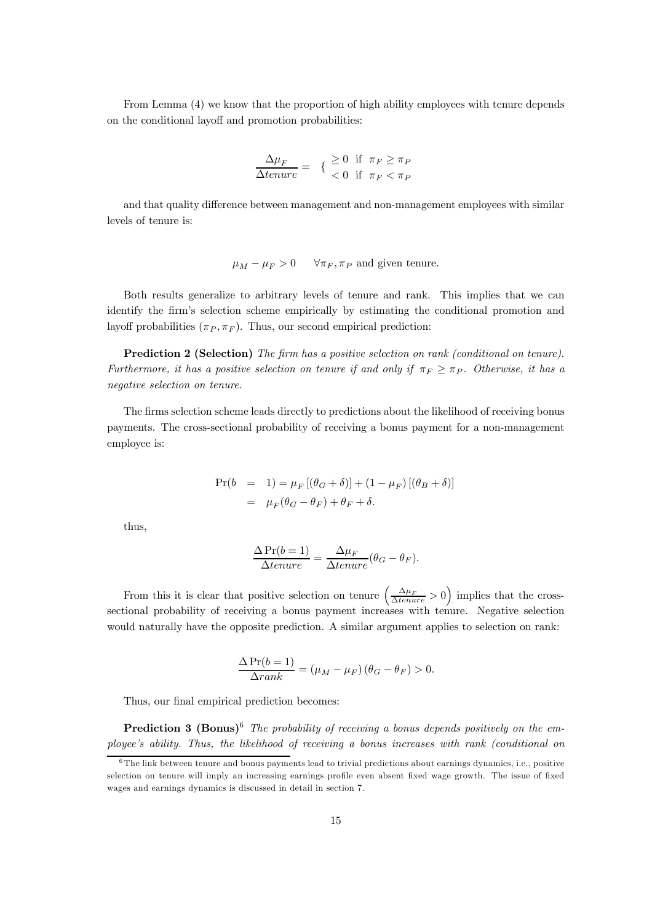From Lemma (4) we know that the proportion of high ability employees with tenure depends on the conditional layoff and promotion probabilities:

$$
\frac{\Delta \mu_F}{\Delta t = \frac{1}{2}} = \begin{cases} \geq 0 & \text{if } \pi_F \geq \pi_P \\ < 0 & \text{if } \pi_F < \pi_P \end{cases}
$$

and that quality difference between management and non-management employees with similar levels of tenure is:

$$
\mu_M - \mu_F > 0
$$
  $\forall \pi_F, \pi_P$  and given tenure.

Both results generalize to arbitrary levels of tenure and rank. This implies that we can identify the firm's selection scheme empirically by estimating the conditional promotion and layoff probabilities  $(\pi_P, \pi_F)$ . Thus, our second empirical prediction:

Prediction 2 (Selection) The firm has a positive selection on rank (conditional on tenure). Furthermore, it has a positive selection on tenure if and only if  $\pi_F > \pi_P$ . Otherwise, it has a negative selection on tenure.

The firms selection scheme leads directly to predictions about the likelihood of receiving bonus payments. The cross-sectional probability of receiving a bonus payment for a non-management employee is:

$$
\Pr(b = 1) = \mu_F [(\theta_G + \delta)] + (1 - \mu_F) [(\theta_B + \delta)]
$$
  
= 
$$
\mu_F (\theta_G - \theta_F) + \theta_F + \delta.
$$

thus,

$$
\frac{\Delta Pr(b=1)}{\Delta tenure} = \frac{\Delta \mu_F}{\Delta tenure} (\theta_G - \theta_F).
$$

From this it is clear that positive selection on tenure  $\left(\frac{\Delta\mu_F}{\Delta tenure} > 0\right)$  implies that the crosssectional probability of receiving a bonus payment increases with tenure. Negative selection would naturally have the opposite prediction. A similar argument applies to selection on rank:

$$
\frac{\Delta \Pr(b=1)}{\Delta rank} = (\mu_M - \mu_F) (\theta_G - \theta_F) > 0.
$$

Thus, our final empirical prediction becomes:

**Prediction 3 (Bonus)**<sup>6</sup> The probability of receiving a bonus depends positively on the employee's ability. Thus, the likelihood of receiving a bonus increases with rank (conditional on

 $6$ The link between tenure and bonus payments lead to trivial predictions about earnings dynamics, i.e., positive selection on tenure will imply an increasing earnings profile even absent fixed wage growth. The issue of fixed wages and earnings dynamics is discussed in detail in section 7.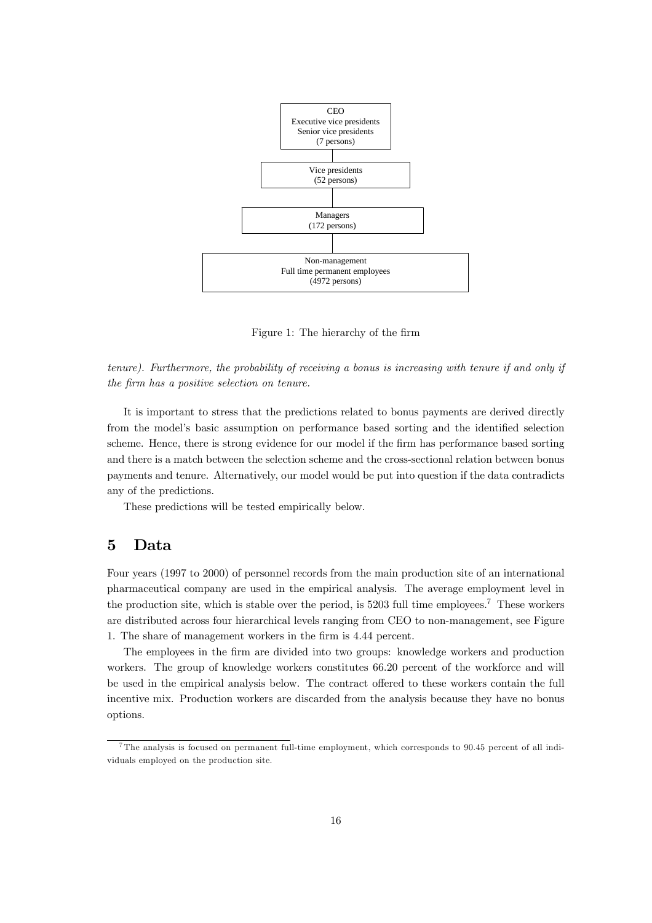

Figure 1: The hierarchy of the firm

tenure). Furthermore, the probability of receiving a bonus is increasing with tenure if and only if the firm has a positive selection on tenure.

It is important to stress that the predictions related to bonus payments are derived directly from the model's basic assumption on performance based sorting and the identified selection scheme. Hence, there is strong evidence for our model if the firm has performance based sorting and there is a match between the selection scheme and the cross-sectional relation between bonus payments and tenure. Alternatively, our model would be put into question if the data contradicts any of the predictions.

These predictions will be tested empirically below.

# 5 Data

Four years (1997 to 2000) of personnel records from the main production site of an international pharmaceutical company are used in the empirical analysis. The average employment level in the production site, which is stable over the period, is  $5203$  full time employees.<sup>7</sup> These workers are distributed across four hierarchical levels ranging from CEO to non-management, see Figure 1. The share of management workers in the firm is 4.44 percent.

The employees in the firm are divided into two groups: knowledge workers and production workers. The group of knowledge workers constitutes 66.20 percent of the workforce and will be used in the empirical analysis below. The contract offered to these workers contain the full incentive mix. Production workers are discarded from the analysis because they have no bonus options.

<sup>7</sup>The analysis is focused on permanent full-time employment, which corresponds to 90.45 percent of all individuals employed on the production site.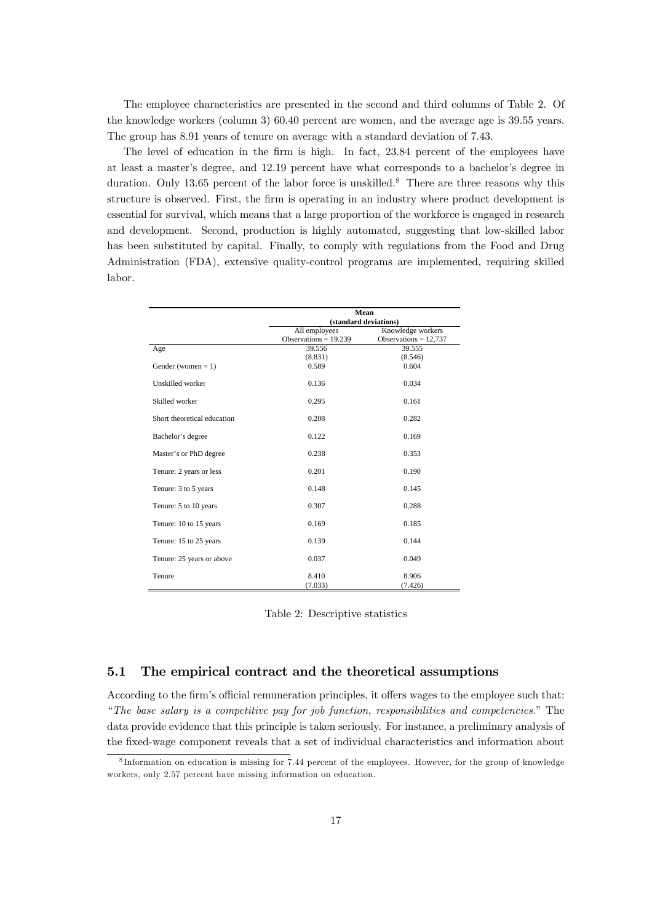The employee characteristics are presented in the second and third columns of Table 2. Of the knowledge workers (column 3) 60.40 percent are women, and the average age is 39.55 years. The group has 8.91 years of tenure on average with a standard deviation of 7.43.

The level of education in the firm is high. In fact, 23.84 percent of the employees have at least a master's degree, and 12.19 percent have what corresponds to a bachelor's degree in duration. Only 13.65 percent of the labor force is unskilled.<sup>8</sup> There are three reasons why this structure is observed. First, the firm is operating in an industry where product development is essential for survival, which means that a large proportion of the workforce is engaged in research and development. Second, production is highly automated, suggesting that low-skilled labor has been substituted by capital. Finally, to comply with regulations from the Food and Drug Administration (FDA), extensive quality-control programs are implemented, requiring skilled labor.

|                             | Mean                    |                         |  |  |
|-----------------------------|-------------------------|-------------------------|--|--|
|                             | (standard deviations)   |                         |  |  |
|                             | All employees           | Knowledge workers       |  |  |
|                             | Observations = $19.239$ | Observations = $12,737$ |  |  |
| Age                         | 39.556                  | 39.555                  |  |  |
|                             | (8.831)                 | (8.546)                 |  |  |
| Gender (women $= 1$ )       | 0.589                   | 0.604                   |  |  |
| Unskilled worker            | 0.136                   | 0.034                   |  |  |
| Skilled worker              | 0.295                   | 0.161                   |  |  |
| Short theoretical education | 0.208                   | 0.282                   |  |  |
| Bachelor's degree           | 0.122                   | 0.169                   |  |  |
| Master's or PhD degree      | 0.238                   | 0.353                   |  |  |
| Tenure: 2 years or less     | 0.201                   | 0.190                   |  |  |
| Tenure: 3 to 5 years        | 0.148                   | 0.145                   |  |  |
| Tenure: 5 to 10 years       | 0.307                   | 0.288                   |  |  |
| Tenure: 10 to 15 years      | 0.169                   | 0.185                   |  |  |
| Tenure: 15 to 25 years      | 0.139                   | 0.144                   |  |  |
| Tenure: 25 years or above   | 0.037                   | 0.049                   |  |  |
| Tenure                      | 8.410<br>(7.033)        | 8.906<br>(7.426)        |  |  |

Table 2: Descriptive statistics

### 5.1 The empirical contract and the theoretical assumptions

According to the firm's official remuneration principles, it offers wages to the employee such that: "The base salary is a competitive pay for job function, responsibilities and competencies." The data provide evidence that this principle is taken seriously. For instance, a preliminary analysis of the fixed-wage component reveals that a set of individual characteristics and information about

<sup>8</sup> Information on education is missing for 7.44 percent of the employees. However, for the group of knowledge workers, only 2.57 percent have missing information on education.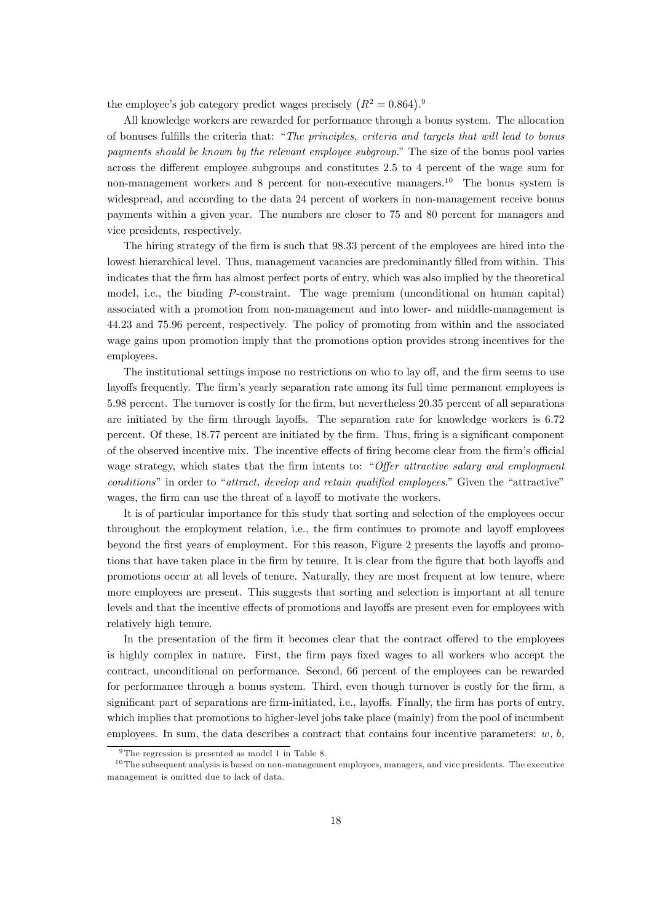the employee's job category predict wages precisely  $(R^2 = 0.864)^{0.9}$ 

All knowledge workers are rewarded for performance through a bonus system. The allocation of bonuses fulfills the criteria that: "The principles, criteria and targets that will lead to bonus payments should be known by the relevant employee subgroup." The size of the bonus pool varies across the different employee subgroups and constitutes 2.5 to 4 percent of the wage sum for non-management workers and 8 percent for non-executive managers.<sup>10</sup> The bonus system is widespread, and according to the data 24 percent of workers in non-management receive bonus payments within a given year. The numbers are closer to 75 and 80 percent for managers and vice presidents, respectively.

The hiring strategy of the firm is such that 98.33 percent of the employees are hired into the lowest hierarchical level. Thus, management vacancies are predominantly filled from within. This indicates that the firm has almost perfect ports of entry, which was also implied by the theoretical model, i.e., the binding P-constraint. The wage premium (unconditional on human capital) associated with a promotion from non-management and into lower- and middle-management is 44.23 and 75.96 percent, respectively. The policy of promoting from within and the associated wage gains upon promotion imply that the promotions option provides strong incentives for the employees.

The institutional settings impose no restrictions on who to lay off, and the firm seems to use layoffs frequently. The firm's yearly separation rate among its full time permanent employees is 5.98 percent. The turnover is costly for the firm, but nevertheless 20.35 percent of all separations are initiated by the firm through layoffs. The separation rate for knowledge workers is 6.72 percent. Of these, 18.77 percent are initiated by the firm. Thus, firing is a significant component of the observed incentive mix. The incentive effects of firing become clear from the firm's official wage strategy, which states that the firm intents to: "Offer attractive salary and employment conditions" in order to "attract, develop and retain qualified employees." Given the "attractive" wages, the firm can use the threat of a layoff to motivate the workers.

It is of particular importance for this study that sorting and selection of the employees occur throughout the employment relation, i.e., the firm continues to promote and layoff employees beyond the first years of employment. For this reason, Figure 2 presents the layoffs and promotions that have taken place in the firm by tenure. It is clear from the figure that both layoffs and promotions occur at all levels of tenure. Naturally, they are most frequent at low tenure, where more employees are present. This suggests that sorting and selection is important at all tenure levels and that the incentive effects of promotions and layoffs are present even for employees with relatively high tenure.

In the presentation of the firm it becomes clear that the contract offered to the employees is highly complex in nature. First, the firm pays fixed wages to all workers who accept the contract, unconditional on performance. Second, 66 percent of the employees can be rewarded for performance through a bonus system. Third, even though turnover is costly for the firm, a significant part of separations are firm-initiated, i.e., layoffs. Finally, the firm has ports of entry, which implies that promotions to higher-level jobs take place (mainly) from the pool of incumbent employees. In sum, the data describes a contract that contains four incentive parameters:  $w, b$ ,

 $9$ The regression is presented as model 1 in Table 8.

 $10$ The subsequent analysis is based on non-management employees, managers, and vice presidents. The executive management is omitted due to lack of data.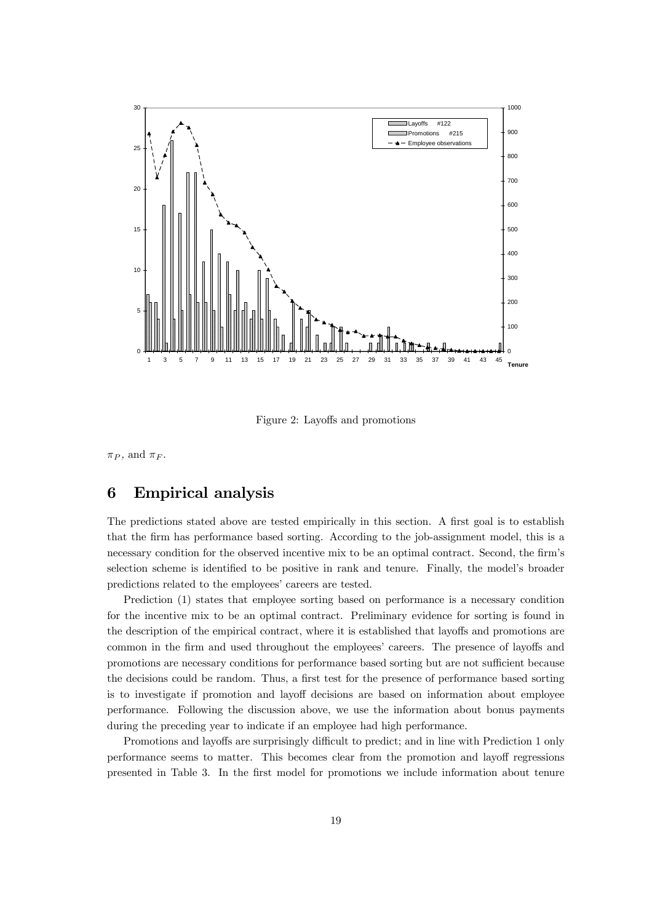

Figure 2: Layoffs and promotions

 $\pi_P$ , and  $\pi_F$ .

# 6 Empirical analysis

The predictions stated above are tested empirically in this section. A first goal is to establish that the firm has performance based sorting. According to the job-assignment model, this is a necessary condition for the observed incentive mix to be an optimal contract. Second, the firm's selection scheme is identified to be positive in rank and tenure. Finally, the model's broader predictions related to the employees' careers are tested.

Prediction (1) states that employee sorting based on performance is a necessary condition for the incentive mix to be an optimal contract. Preliminary evidence for sorting is found in the description of the empirical contract, where it is established that layoffs and promotions are common in the firm and used throughout the employees' careers. The presence of layoffs and promotions are necessary conditions for performance based sorting but are not sufficient because the decisions could be random. Thus, a first test for the presence of performance based sorting is to investigate if promotion and layoff decisions are based on information about employee performance. Following the discussion above, we use the information about bonus payments during the preceding year to indicate if an employee had high performance.

Promotions and layoffs are surprisingly difficult to predict; and in line with Prediction 1 only performance seems to matter. This becomes clear from the promotion and layoff regressions presented in Table 3. In the first model for promotions we include information about tenure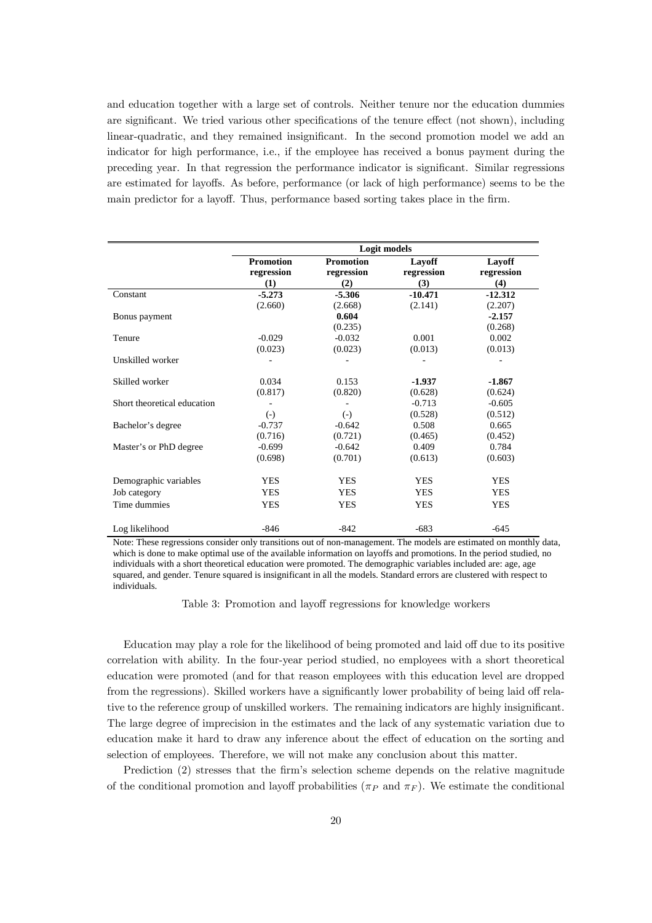and education together with a large set of controls. Neither tenure nor the education dummies are significant. We tried various other specifications of the tenure effect (not shown), including linear-quadratic, and they remained insignificant. In the second promotion model we add an indicator for high performance, i.e., if the employee has received a bonus payment during the preceding year. In that regression the performance indicator is significant. Similar regressions are estimated for layoffs. As before, performance (or lack of high performance) seems to be the main predictor for a layoff. Thus, performance based sorting takes place in the firm.

|                             | Logit models     |                  |            |            |
|-----------------------------|------------------|------------------|------------|------------|
|                             | <b>Promotion</b> | <b>Promotion</b> | Layoff     | Layoff     |
|                             | regression       | regression       | regression | regression |
|                             | (1)              | (2)              | (3)        | (4)        |
| Constant                    | $-5.273$         | $-5.306$         | $-10.471$  | $-12.312$  |
|                             | (2.660)          | (2.668)          | (2.141)    | (2.207)    |
| Bonus payment               |                  | 0.604            |            | $-2.157$   |
|                             |                  | (0.235)          |            | (0.268)    |
| Tenure                      | $-0.029$         | $-0.032$         | 0.001      | 0.002      |
|                             | (0.023)          | (0.023)          | (0.013)    | (0.013)    |
| Unskilled worker            |                  |                  |            |            |
| Skilled worker              | 0.034            | 0.153            | $-1.937$   | $-1.867$   |
|                             | (0.817)          | (0.820)          | (0.628)    | (0.624)    |
| Short theoretical education |                  |                  | $-0.713$   | $-0.605$   |
|                             | $(-)$            | $(-)$            | (0.528)    | (0.512)    |
| Bachelor's degree           | $-0.737$         | $-0.642$         | 0.508      | 0.665      |
|                             | (0.716)          | (0.721)          | (0.465)    | (0.452)    |
| Master's or PhD degree      | $-0.699$         | $-0.642$         | 0.409      | 0.784      |
|                             | (0.698)          | (0.701)          | (0.613)    | (0.603)    |
| Demographic variables       | <b>YES</b>       | <b>YES</b>       | <b>YES</b> | YES        |
| Job category                | <b>YES</b>       | <b>YES</b>       | <b>YES</b> | <b>YES</b> |
| Time dummies                | <b>YES</b>       | <b>YES</b>       | <b>YES</b> | <b>YES</b> |
| Log likelihood              | $-846$           | $-842$           | $-683$     | $-645$     |

Note: These regressions consider only transitions out of non-management. The models are estimated on monthly data, which is done to make optimal use of the available information on layoffs and promotions. In the period studied, no individuals with a short theoretical education were promoted. The demographic variables included are: age, age squared, and gender. Tenure squared is insignificant in all the models. Standard errors are clustered with respect to individuals.

Table 3: Promotion and layoff regressions for knowledge workers

Education may play a role for the likelihood of being promoted and laid off due to its positive correlation with ability. In the four-year period studied, no employees with a short theoretical education were promoted (and for that reason employees with this education level are dropped from the regressions). Skilled workers have a significantly lower probability of being laid off relative to the reference group of unskilled workers. The remaining indicators are highly insignificant. The large degree of imprecision in the estimates and the lack of any systematic variation due to education make it hard to draw any inference about the effect of education on the sorting and selection of employees. Therefore, we will not make any conclusion about this matter.

Prediction (2) stresses that the firm's selection scheme depends on the relative magnitude of the conditional promotion and layoff probabilities ( $\pi_P$  and  $\pi_F$ ). We estimate the conditional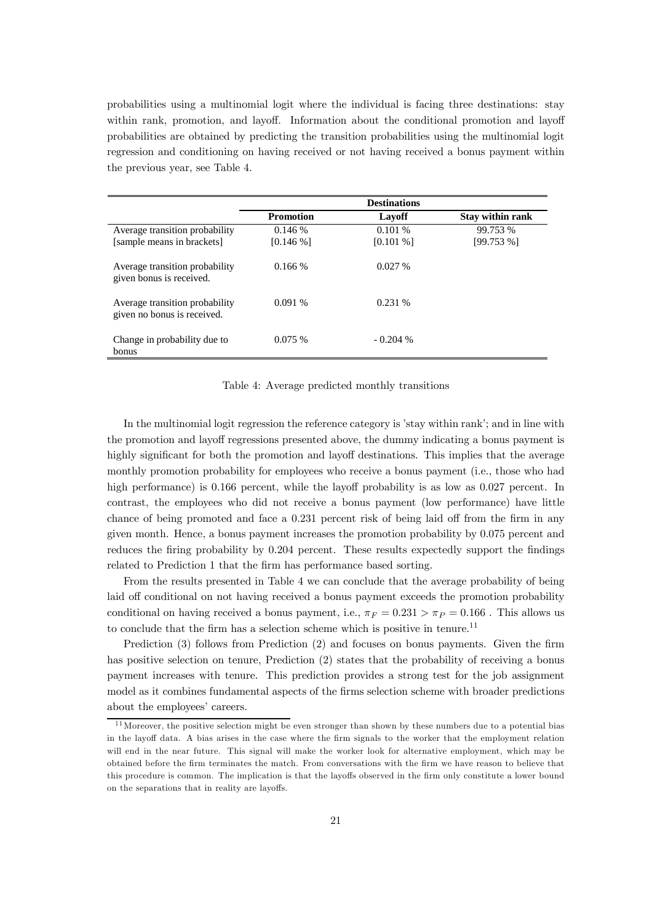probabilities using a multinomial logit where the individual is facing three destinations: stay within rank, promotion, and layoff. Information about the conditional promotion and layoff probabilities are obtained by predicting the transition probabilities using the multinomial logit regression and conditioning on having received or not having received a bonus payment within the previous year, see Table 4.

|                                                               |                  | <b>Destinations</b> |                         |
|---------------------------------------------------------------|------------------|---------------------|-------------------------|
|                                                               | <b>Promotion</b> | Lavoff              | <b>Stay within rank</b> |
| Average transition probability                                | 0.146%           | 0.101%              | 99.753 %                |
| [sample means in brackets]                                    | $[0.146\%]$      | $[0.101\%]$         | [99.753%]               |
| Average transition probability<br>given bonus is received.    | 0.166%           | 0.027%              |                         |
| Average transition probability<br>given no bonus is received. | 0.091%           | 0.231%              |                         |
| Change in probability due to<br>bonus                         | 0.075%           | $-0.204\%$          |                         |

### Table 4: Average predicted monthly transitions

In the multinomial logit regression the reference category is 'stay within rank'; and in line with the promotion and layoff regressions presented above, the dummy indicating a bonus payment is highly significant for both the promotion and layoff destinations. This implies that the average monthly promotion probability for employees who receive a bonus payment (i.e., those who had high performance) is 0.166 percent, while the layoff probability is as low as 0.027 percent. In contrast, the employees who did not receive a bonus payment (low performance) have little chance of being promoted and face a 0.231 percent risk of being laid off from the firm in any given month. Hence, a bonus payment increases the promotion probability by 0.075 percent and reduces the firing probability by 0.204 percent. These results expectedly support the findings related to Prediction 1 that the firm has performance based sorting.

From the results presented in Table 4 we can conclude that the average probability of being laid off conditional on not having received a bonus payment exceeds the promotion probability conditional on having received a bonus payment, i.e.,  $\pi_F = 0.231 > \pi_P = 0.166$ . This allows us to conclude that the firm has a selection scheme which is positive in tenure.<sup>11</sup>

Prediction (3) follows from Prediction (2) and focuses on bonus payments. Given the firm has positive selection on tenure, Prediction  $(2)$  states that the probability of receiving a bonus payment increases with tenure. This prediction provides a strong test for the job assignment model as it combines fundamental aspects of the firms selection scheme with broader predictions about the employees' careers.

 $11$  Moreover, the positive selection might be even stronger than shown by these numbers due to a potential bias in the layoff data. A bias arises in the case where the firm signals to the worker that the employment relation will end in the near future. This signal will make the worker look for alternative employment, which may be obtained before the firm terminates the match. From conversations with the firm we have reason to believe that this procedure is common. The implication is that the layoffs observed in the firm only constitute a lower bound on the separations that in reality are layoffs.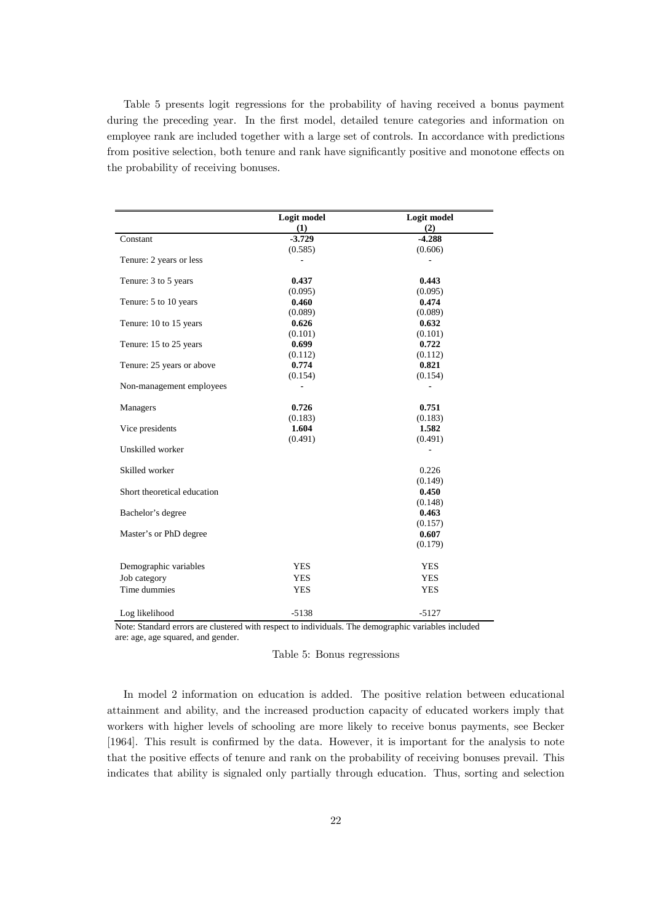Table 5 presents logit regressions for the probability of having received a bonus payment during the preceding year. In the first model, detailed tenure categories and information on employee rank are included together with a large set of controls. In accordance with predictions from positive selection, both tenure and rank have significantly positive and monotone effects on the probability of receiving bonuses.

|                             | Logit model | Logit model |
|-----------------------------|-------------|-------------|
|                             | (1)         | (2)         |
| Constant                    | $-3.729$    | $-4.288$    |
|                             | (0.585)     | (0.606)     |
| Tenure: 2 years or less     |             |             |
| Tenure: 3 to 5 years        | 0.437       | 0.443       |
|                             | (0.095)     | (0.095)     |
| Tenure: 5 to 10 years       | 0.460       | 0.474       |
|                             | (0.089)     | (0.089)     |
| Tenure: 10 to 15 years      | 0.626       | 0.632       |
|                             | (0.101)     | (0.101)     |
| Tenure: 15 to 25 years      | 0.699       | 0.722       |
|                             | (0.112)     | (0.112)     |
| Tenure: 25 years or above   | 0.774       | 0.821       |
|                             | (0.154)     | (0.154)     |
| Non-management employees    |             |             |
| Managers                    | 0.726       | 0.751       |
|                             | (0.183)     | (0.183)     |
| Vice presidents             | 1.604       | 1.582       |
|                             | (0.491)     | (0.491)     |
| Unskilled worker            |             |             |
| Skilled worker              |             | 0.226       |
|                             |             | (0.149)     |
| Short theoretical education |             | 0.450       |
|                             |             | (0.148)     |
| Bachelor's degree           |             | 0.463       |
|                             |             | (0.157)     |
| Master's or PhD degree      |             | 0.607       |
|                             |             | (0.179)     |
| Demographic variables       | <b>YES</b>  | <b>YES</b>  |
| Job category                | <b>YES</b>  | <b>YES</b>  |
| Time dummies                | <b>YES</b>  | <b>YES</b>  |
|                             |             |             |
| Log likelihood              | $-5138$     | $-5127$     |

Note: Standard errors are clustered with respect to individuals. The demographic variables included are: age, age squared, and gender.

Table 5: Bonus regressions

In model 2 information on education is added. The positive relation between educational attainment and ability, and the increased production capacity of educated workers imply that workers with higher levels of schooling are more likely to receive bonus payments, see Becker [1964]. This result is confirmed by the data. However, it is important for the analysis to note that the positive effects of tenure and rank on the probability of receiving bonuses prevail. This indicates that ability is signaled only partially through education. Thus, sorting and selection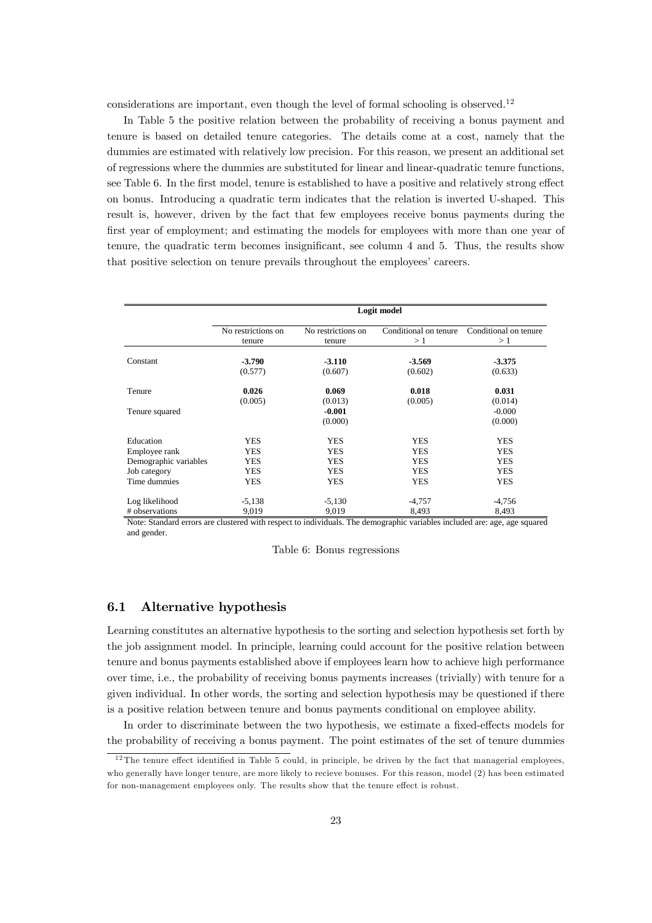considerations are important, even though the level of formal schooling is observed.<sup>12</sup>

In Table 5 the positive relation between the probability of receiving a bonus payment and tenure is based on detailed tenure categories. The details come at a cost, namely that the dummies are estimated with relatively low precision. For this reason, we present an additional set of regressions where the dummies are substituted for linear and linear-quadratic tenure functions, see Table 6. In the first model, tenure is established to have a positive and relatively strong effect on bonus. Introducing a quadratic term indicates that the relation is inverted U-shaped. This result is, however, driven by the fact that few employees receive bonus payments during the first year of employment; and estimating the models for employees with more than one year of tenure, the quadratic term becomes insignificant, see column 4 and 5. Thus, the results show that positive selection on tenure prevails throughout the employees' careers.

|                       | Logit model        |                     |                       |                       |
|-----------------------|--------------------|---------------------|-----------------------|-----------------------|
|                       | No restrictions on | No restrictions on  | Conditional on tenure | Conditional on tenure |
|                       | tenure             | tenure              | >1                    | >1                    |
| Constant              | $-3.790$           | $-3.110$            | $-3.569$              | $-3.375$              |
|                       | (0.577)            | (0.607)             | (0.602)               | (0.633)               |
| Tenure                | 0.026              | 0.069               | 0.018                 | 0.031                 |
|                       | (0.005)            | (0.013)             | (0.005)               | (0.014)               |
| Tenure squared        |                    | $-0.001$<br>(0.000) |                       | $-0.000$<br>(0.000)   |
| Education             | <b>YES</b>         | <b>YES</b>          | <b>YES</b>            | <b>YES</b>            |
| Employee rank         | <b>YES</b>         | <b>YES</b>          | <b>YES</b>            | <b>YES</b>            |
| Demographic variables | <b>YES</b>         | <b>YES</b>          | <b>YES</b>            | <b>YES</b>            |
| Job category          | <b>YES</b>         | <b>YES</b>          | <b>YES</b>            | <b>YES</b>            |
| Time dummies          | YES                | <b>YES</b>          | YES                   | <b>YES</b>            |
| Log likelihood        | $-5,138$           | $-5,130$            | $-4,757$              | $-4,756$              |
| # observations        | 9,019              | 9,019               | 8,493                 | 8,493                 |

Note: Standard errors are clustered with respect to individuals. The demographic variables included are: age, age squared and gender.

|  |  |  | Table 6: Bonus regressions |
|--|--|--|----------------------------|
|--|--|--|----------------------------|

### 6.1 Alternative hypothesis

Learning constitutes an alternative hypothesis to the sorting and selection hypothesis set forth by the job assignment model. In principle, learning could account for the positive relation between tenure and bonus payments established above if employees learn how to achieve high performance over time, i.e., the probability of receiving bonus payments increases (trivially) with tenure for a given individual. In other words, the sorting and selection hypothesis may be questioned if there is a positive relation between tenure and bonus payments conditional on employee ability.

In order to discriminate between the two hypothesis, we estimate a fixed-effects models for the probability of receiving a bonus payment. The point estimates of the set of tenure dummies

 $12$ The tenure effect identified in Table 5 could, in principle, be driven by the fact that managerial employees, who generally have longer tenure, are more likely to recieve bonuses. For this reason, model (2) has been estimated for non-management employees only. The results show that the tenure effect is robust.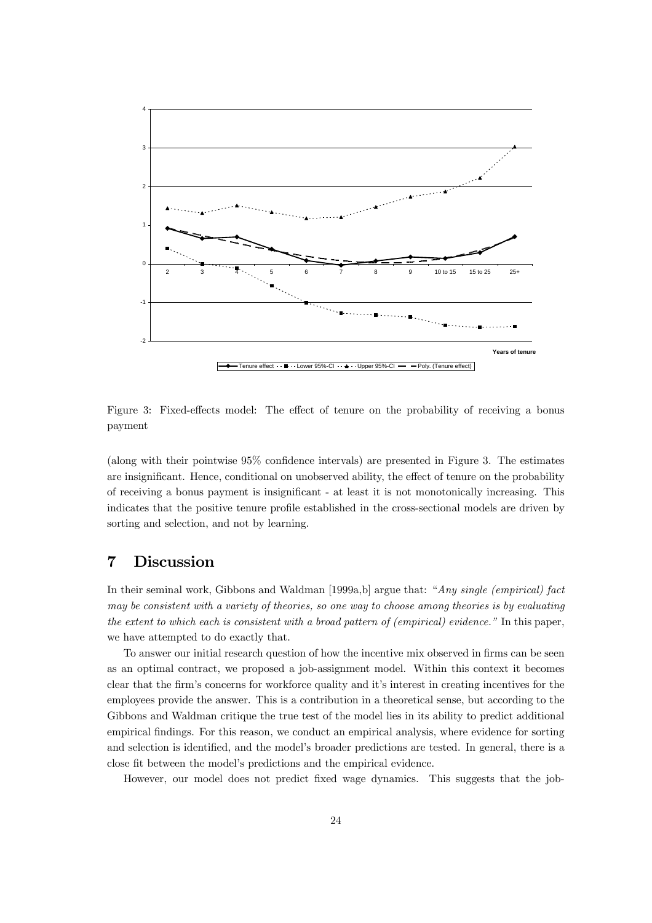

Figure 3: Fixed-effects model: The effect of tenure on the probability of receiving a bonus payment

(along with their pointwise 95% confidence intervals) are presented in Figure 3. The estimates are insignificant. Hence, conditional on unobserved ability, the effect of tenure on the probability of receiving a bonus payment is insignificant - at least it is not monotonically increasing. This indicates that the positive tenure profile established in the cross-sectional models are driven by sorting and selection, and not by learning.

# 7 Discussion

In their seminal work, Gibbons and Waldman [1999a,b] argue that: "Any single (empirical) fact may be consistent with a variety of theories, so one way to choose among theories is by evaluating the extent to which each is consistent with a broad pattern of (empirical) evidence." In this paper, we have attempted to do exactly that.

To answer our initial research question of how the incentive mix observed in firms can be seen as an optimal contract, we proposed a job-assignment model. Within this context it becomes clear that the firm's concerns for workforce quality and it's interest in creating incentives for the employees provide the answer. This is a contribution in a theoretical sense, but according to the Gibbons and Waldman critique the true test of the model lies in its ability to predict additional empirical findings. For this reason, we conduct an empirical analysis, where evidence for sorting and selection is identified, and the model's broader predictions are tested. In general, there is a close fit between the model's predictions and the empirical evidence.

However, our model does not predict fixed wage dynamics. This suggests that the job-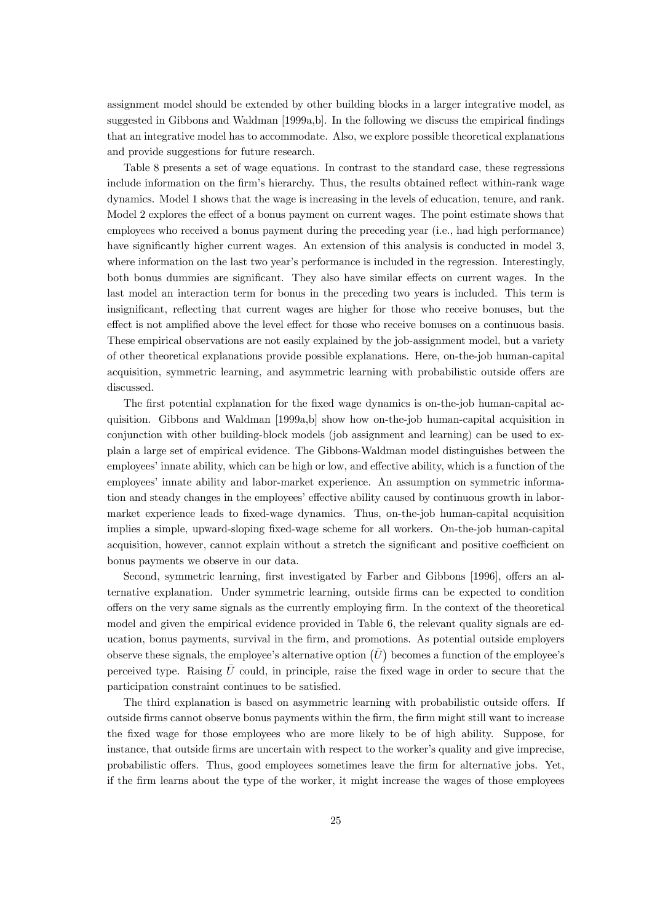assignment model should be extended by other building blocks in a larger integrative model, as suggested in Gibbons and Waldman [1999a,b]. In the following we discuss the empirical findings that an integrative model has to accommodate. Also, we explore possible theoretical explanations and provide suggestions for future research.

Table 8 presents a set of wage equations. In contrast to the standard case, these regressions include information on the firm's hierarchy. Thus, the results obtained reflect within-rank wage dynamics. Model 1 shows that the wage is increasing in the levels of education, tenure, and rank. Model 2 explores the effect of a bonus payment on current wages. The point estimate shows that employees who received a bonus payment during the preceding year (i.e., had high performance) have significantly higher current wages. An extension of this analysis is conducted in model 3, where information on the last two year's performance is included in the regression. Interestingly, both bonus dummies are significant. They also have similar effects on current wages. In the last model an interaction term for bonus in the preceding two years is included. This term is insignificant, reflecting that current wages are higher for those who receive bonuses, but the effect is not amplified above the level effect for those who receive bonuses on a continuous basis. These empirical observations are not easily explained by the job-assignment model, but a variety of other theoretical explanations provide possible explanations. Here, on-the-job human-capital acquisition, symmetric learning, and asymmetric learning with probabilistic outside offers are discussed.

The first potential explanation for the fixed wage dynamics is on-the-job human-capital acquisition. Gibbons and Waldman [1999a,b] show how on-the-job human-capital acquisition in conjunction with other building-block models (job assignment and learning) can be used to explain a large set of empirical evidence. The Gibbons-Waldman model distinguishes between the employees' innate ability, which can be high or low, and effective ability, which is a function of the employees' innate ability and labor-market experience. An assumption on symmetric information and steady changes in the employees' effective ability caused by continuous growth in labormarket experience leads to fixed-wage dynamics. Thus, on-the-job human-capital acquisition implies a simple, upward-sloping fixed-wage scheme for all workers. On-the-job human-capital acquisition, however, cannot explain without a stretch the significant and positive coefficient on bonus payments we observe in our data.

Second, symmetric learning, first investigated by Farber and Gibbons [1996], offers an alternative explanation. Under symmetric learning, outside firms can be expected to condition offers on the very same signals as the currently employing firm. In the context of the theoretical model and given the empirical evidence provided in Table 6, the relevant quality signals are education, bonus payments, survival in the firm, and promotions. As potential outside employers observe these signals, the employee's alternative option  $(\bar{U})$  becomes a function of the employee's perceived type. Raising  $\bar{U}$  could, in principle, raise the fixed wage in order to secure that the participation constraint continues to be satisfied.

The third explanation is based on asymmetric learning with probabilistic outside offers. If outside firms cannot observe bonus payments within the firm, the firm might still want to increase the fixed wage for those employees who are more likely to be of high ability. Suppose, for instance, that outside firms are uncertain with respect to the worker's quality and give imprecise, probabilistic offers. Thus, good employees sometimes leave the firm for alternative jobs. Yet, if the firm learns about the type of the worker, it might increase the wages of those employees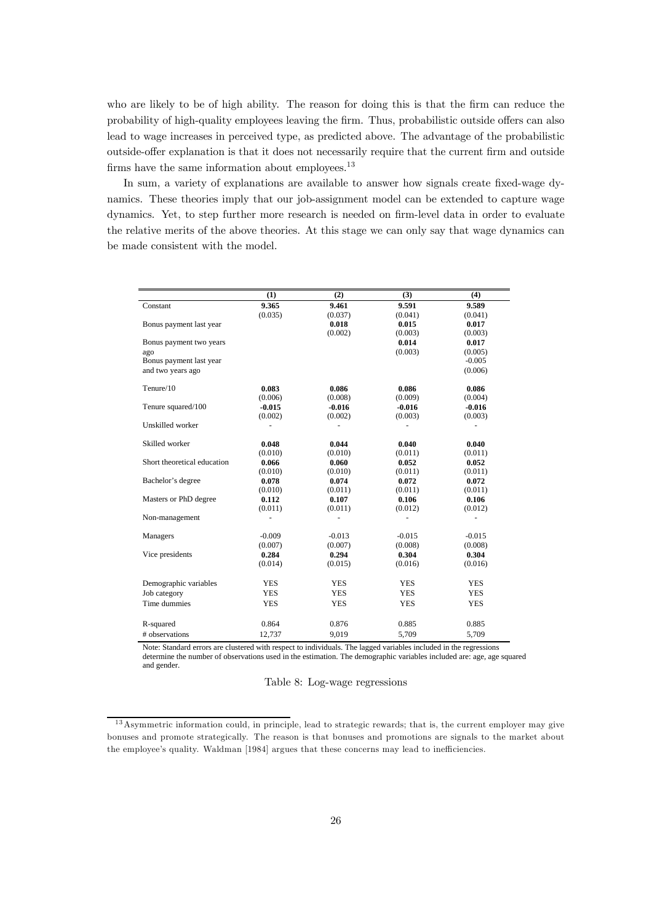who are likely to be of high ability. The reason for doing this is that the firm can reduce the probability of high-quality employees leaving the firm. Thus, probabilistic outside offers can also lead to wage increases in perceived type, as predicted above. The advantage of the probabilistic outside-offer explanation is that it does not necessarily require that the current firm and outside firms have the same information about employees.<sup>13</sup>

In sum, a variety of explanations are available to answer how signals create fixed-wage dynamics. These theories imply that our job-assignment model can be extended to capture wage dynamics. Yet, to step further more research is needed on firm-level data in order to evaluate the relative merits of the above theories. At this stage we can only say that wage dynamics can be made consistent with the model.

|                             | (1)        | (2)            | (3)            | (4)        |
|-----------------------------|------------|----------------|----------------|------------|
| Constant                    | 9.365      | 9.461          | 9.591          | 9.589      |
|                             | (0.035)    | (0.037)        | (0.041)        | (0.041)    |
| Bonus payment last year     |            | 0.018          | 0.015          | 0.017      |
|                             |            | (0.002)        | (0.003)        | (0.003)    |
| Bonus payment two years     |            |                | 0.014          | 0.017      |
| ago                         |            |                | (0.003)        | (0.005)    |
| Bonus payment last year     |            |                |                | $-0.005$   |
| and two years ago           |            |                |                | (0.006)    |
| Tenure/10                   | 0.083      | 0.086          | 0.086          | 0.086      |
|                             | (0.006)    | (0.008)        | (0.009)        | (0.004)    |
| Tenure squared/100          | $-0.015$   | $-0.016$       | $-0.016$       | $-0.016$   |
|                             | (0.002)    | (0.002)        | (0.003)        | (0.003)    |
| Unskilled worker            | ÷.         | $\overline{a}$ | ÷              | ÷          |
| Skilled worker              | 0.048      | 0.044          | 0.040          | 0.040      |
|                             | (0.010)    | (0.010)        | (0.011)        | (0.011)    |
| Short theoretical education | 0.066      | 0.060          | 0.052          | 0.052      |
|                             | (0.010)    | (0.010)        | (0.011)        | (0.011)    |
| Bachelor's degree           | 0.078      | 0.074          | 0.072          | 0.072      |
|                             | (0.010)    | (0.011)        | (0.011)        | (0.011)    |
| Masters or PhD degree       | 0.112      | 0.107          | 0.106          | 0.106      |
|                             | (0.011)    | (0.011)        | (0.012)        | (0.012)    |
| Non-management              |            |                | $\blacksquare$ |            |
| Managers                    | $-0.009$   | $-0.013$       | $-0.015$       | $-0.015$   |
|                             | (0.007)    | (0.007)        | (0.008)        | (0.008)    |
| Vice presidents             | 0.284      | 0.294          | 0.304          | 0.304      |
|                             | (0.014)    | (0.015)        | (0.016)        | (0.016)    |
| Demographic variables       | <b>YES</b> | <b>YES</b>     | <b>YES</b>     | <b>YES</b> |
| Job category                | <b>YES</b> | <b>YES</b>     | <b>YES</b>     | <b>YES</b> |
| Time dummies                | <b>YES</b> | <b>YES</b>     | <b>YES</b>     | <b>YES</b> |
|                             |            |                |                |            |
| R-squared                   | 0.864      | 0.876          | 0.885          | 0.885      |
| # observations              | 12,737     | 9,019          | 5,709          | 5,709      |
|                             |            |                |                |            |

Note: Standard errors are clustered with respect to individuals. The lagged variables included in the regressions determine the number of observations used in the estimation. The demographic variables included are: age, age squared and gender.

### Table 8: Log-wage regressions

<sup>&</sup>lt;sup>13</sup> Asymmetric information could, in principle, lead to strategic rewards; that is, the current employer may give bonuses and promote strategically. The reason is that bonuses and promotions are signals to the market about the employee's quality. Waldman [1984] argues that these concerns may lead to inefficiencies.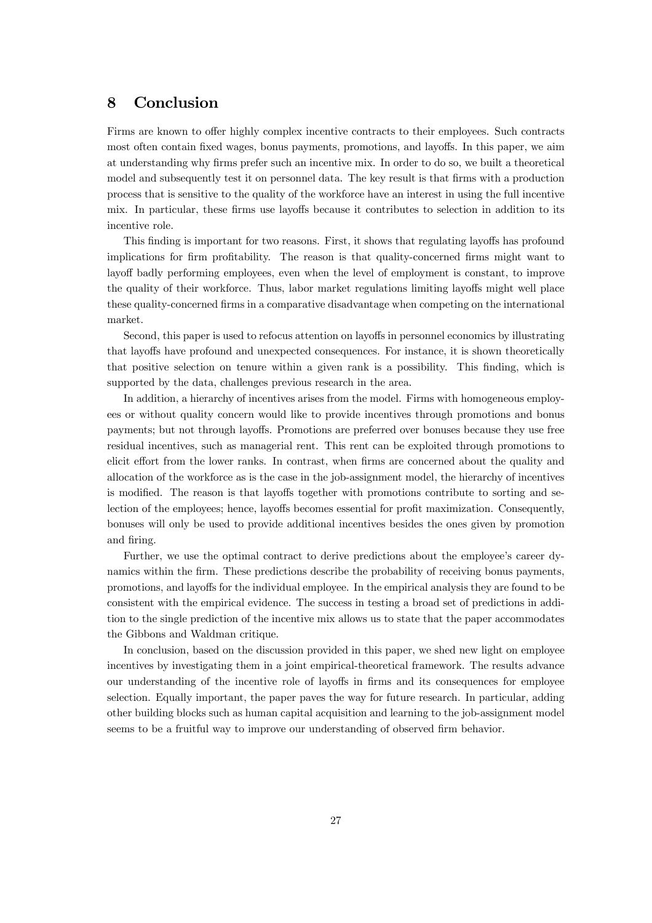# 8 Conclusion

Firms are known to offer highly complex incentive contracts to their employees. Such contracts most often contain fixed wages, bonus payments, promotions, and layoffs. In this paper, we aim at understanding why firms prefer such an incentive mix. In order to do so, we built a theoretical model and subsequently test it on personnel data. The key result is that firms with a production process that is sensitive to the quality of the workforce have an interest in using the full incentive mix. In particular, these firms use layoffs because it contributes to selection in addition to its incentive role.

This finding is important for two reasons. First, it shows that regulating layoffs has profound implications for firm profitability. The reason is that quality-concerned firms might want to layoff badly performing employees, even when the level of employment is constant, to improve the quality of their workforce. Thus, labor market regulations limiting layoffs might well place these quality-concerned firms in a comparative disadvantage when competing on the international market.

Second, this paper is used to refocus attention on layoffs in personnel economics by illustrating that layoffs have profound and unexpected consequences. For instance, it is shown theoretically that positive selection on tenure within a given rank is a possibility. This finding, which is supported by the data, challenges previous research in the area.

In addition, a hierarchy of incentives arises from the model. Firms with homogeneous employees or without quality concern would like to provide incentives through promotions and bonus payments; but not through layoffs. Promotions are preferred over bonuses because they use free residual incentives, such as managerial rent. This rent can be exploited through promotions to elicit effort from the lower ranks. In contrast, when firms are concerned about the quality and allocation of the workforce as is the case in the job-assignment model, the hierarchy of incentives is modified. The reason is that layoffs together with promotions contribute to sorting and selection of the employees; hence, layoffs becomes essential for profit maximization. Consequently, bonuses will only be used to provide additional incentives besides the ones given by promotion and firing.

Further, we use the optimal contract to derive predictions about the employee's career dynamics within the firm. These predictions describe the probability of receiving bonus payments, promotions, and layoffs for the individual employee. In the empirical analysis they are found to be consistent with the empirical evidence. The success in testing a broad set of predictions in addition to the single prediction of the incentive mix allows us to state that the paper accommodates the Gibbons and Waldman critique.

In conclusion, based on the discussion provided in this paper, we shed new light on employee incentives by investigating them in a joint empirical-theoretical framework. The results advance our understanding of the incentive role of layoffs in firms and its consequences for employee selection. Equally important, the paper paves the way for future research. In particular, adding other building blocks such as human capital acquisition and learning to the job-assignment model seems to be a fruitful way to improve our understanding of observed firm behavior.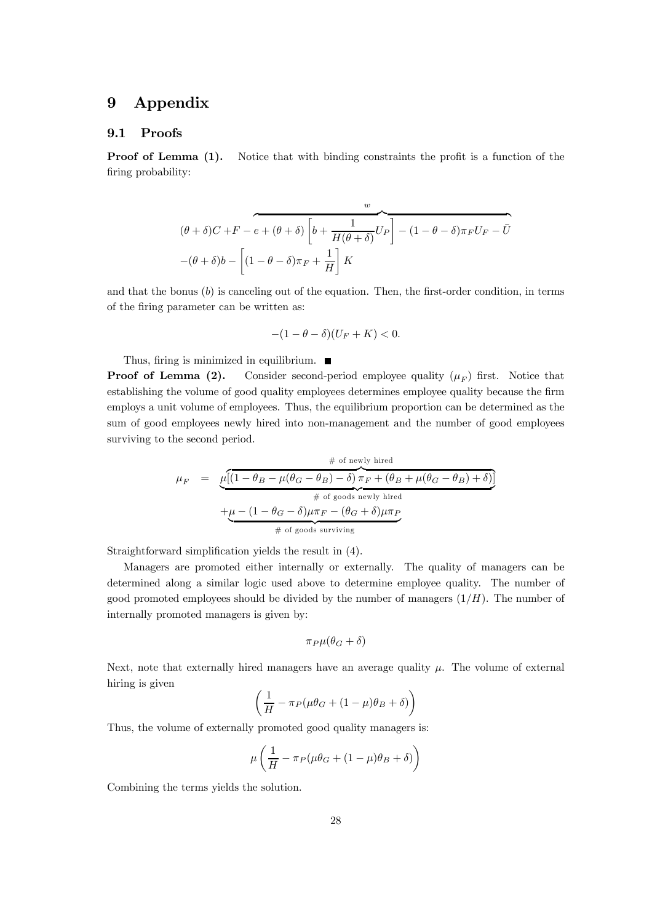# 9 Appendix

### 9.1 Proofs

**Proof of Lemma (1).** Notice that with binding constraints the profit is a function of the firing probability:

$$
(\theta + \delta)C + F - e + (\theta + \delta) \left[ b + \frac{1}{H(\theta + \delta)} U_P \right] - (1 - \theta - \delta)\pi_F U_F - \bar{U}
$$

$$
-(\theta + \delta)b - \left[ (1 - \theta - \delta)\pi_F + \frac{1}{H} \right] K
$$

and that the bonus  $(b)$  is canceling out of the equation. Then, the first-order condition, in terms of the firing parameter can be written as:

$$
-(1-\theta-\delta)(U_F+K)<0.
$$

Thus, firing is minimized in equilibrium.  $\blacksquare$ 

**Proof of Lemma (2).** Consider second-period employee quality  $(\mu_F)$  first. Notice that establishing the volume of good quality employees determines employee quality because the firm employs a unit volume of employees. Thus, the equilibrium proportion can be determined as the sum of good employees newly hired into non-management and the number of good employees surviving to the second period.

$$
\mu_F = \underbrace{\mu[(1 - \theta_B - \mu(\theta_G - \theta_B) - \delta)\pi_F + (\theta_B + \mu(\theta_G - \theta_B) + \delta)]}_{\text{\# of goods newly hired}} + \underbrace{\mu - (1 - \theta_G - \delta)\mu\pi_F - (\theta_G + \delta)\mu\pi_P}_{\text{\# of goods surviving}}
$$

Straightforward simplification yields the result in (4).

Managers are promoted either internally or externally. The quality of managers can be determined along a similar logic used above to determine employee quality. The number of good promoted employees should be divided by the number of managers  $(1/H)$ . The number of internally promoted managers is given by:

$$
\pi_P \mu(\theta_G+\delta)
$$

Next, note that externally hired managers have an average quality  $\mu$ . The volume of external hiring is given

$$
\left(\frac{1}{H} - \pi_P(\mu \theta_G + (1 - \mu)\theta_B + \delta)\right)
$$

Thus, the volume of externally promoted good quality managers is:

$$
\mu \left( \frac{1}{H} - \pi_P (\mu \theta_G + (1 - \mu)\theta_B + \delta) \right)
$$

Combining the terms yields the solution.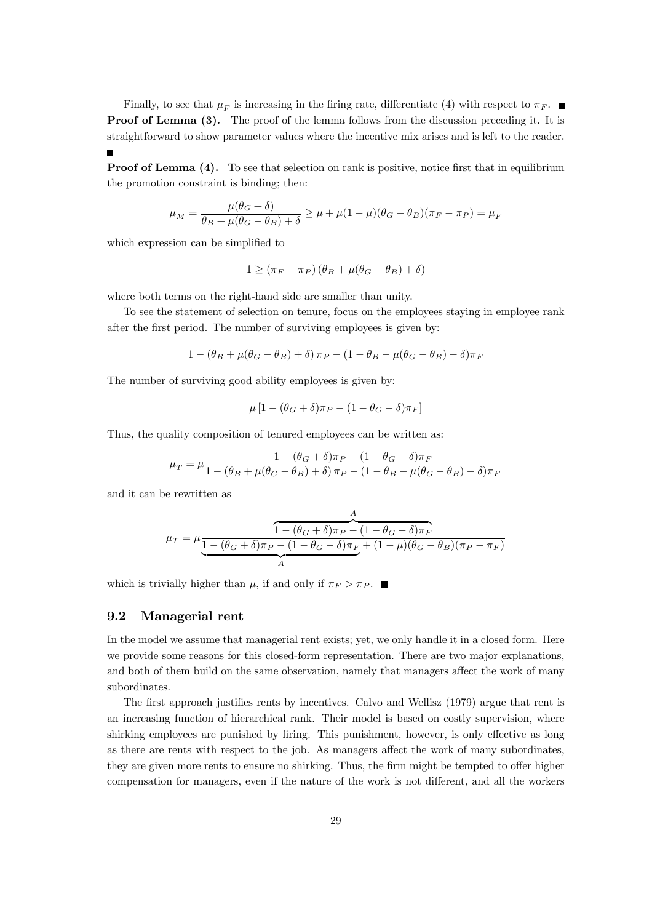Finally, to see that  $\mu_F$  is increasing in the firing rate, differentiate (4) with respect to  $\pi_F$ . **Proof of Lemma (3).** The proof of the lemma follows from the discussion preceding it. It is straightforward to show parameter values where the incentive mix arises and is left to the reader.  $\blacksquare$ 

**Proof of Lemma (4).** To see that selection on rank is positive, notice first that in equilibrium the promotion constraint is binding; then:

$$
\mu_M = \frac{\mu(\theta_G + \delta)}{\theta_B + \mu(\theta_G - \theta_B) + \delta} \ge \mu + \mu(1 - \mu)(\theta_G - \theta_B)(\pi_F - \pi_P) = \mu_F
$$

which expression can be simplified to

$$
1 \ge (\pi_F - \pi_P) (\theta_B + \mu(\theta_G - \theta_B) + \delta)
$$

where both terms on the right-hand side are smaller than unity.

To see the statement of selection on tenure, focus on the employees staying in employee rank after the first period. The number of surviving employees is given by:

$$
1-(\theta_B+\mu(\theta_G-\theta_B)+\delta)\,\pi_P-(1-\theta_B-\mu(\theta_G-\theta_B)-\delta)\pi_F
$$

The number of surviving good ability employees is given by:

$$
\mu \left[ 1 - (\theta_G + \delta) \pi_P - (1 - \theta_G - \delta) \pi_F \right]
$$

Thus, the quality composition of tenured employees can be written as:

$$
\mu_T = \mu \frac{1 - (\theta_G + \delta)\pi_P - (1 - \theta_G - \delta)\pi_F}{1 - (\theta_B + \mu(\theta_G - \theta_B) + \delta)\pi_P - (1 - \theta_B - \mu(\theta_G - \theta_B) - \delta)\pi_F}
$$

and it can be rewritten as

$$
\mu_T = \mu \frac{1 - (\theta_G + \delta)\pi_P - (1 - \theta_G - \delta)\pi_F}{1 - (\theta_G + \delta)\pi_P - (1 - \theta_G - \delta)\pi_F + (1 - \mu)(\theta_G - \theta_B)(\pi_P - \pi_F)}
$$

which is trivially higher than  $\mu$ , if and only if  $\pi_F > \pi_P$ .

### 9.2 Managerial rent

In the model we assume that managerial rent exists; yet, we only handle it in a closed form. Here we provide some reasons for this closed-form representation. There are two major explanations, and both of them build on the same observation, namely that managers affect the work of many subordinates.

The first approach justifies rents by incentives. Calvo and Wellisz (1979) argue that rent is an increasing function of hierarchical rank. Their model is based on costly supervision, where shirking employees are punished by firing. This punishment, however, is only effective as long as there are rents with respect to the job. As managers affect the work of many subordinates, they are given more rents to ensure no shirking. Thus, the firm might be tempted to offer higher compensation for managers, even if the nature of the work is not different, and all the workers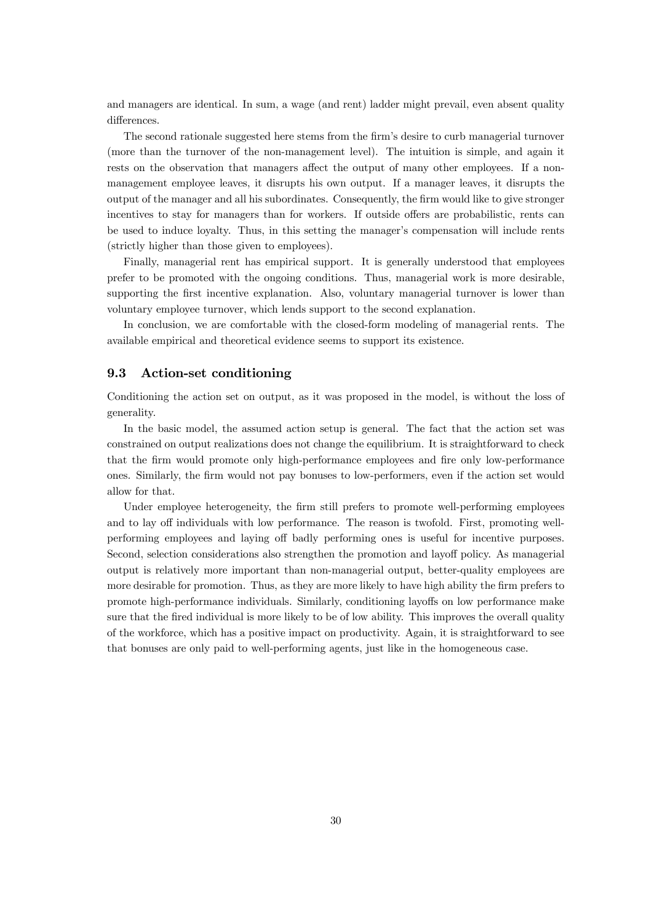and managers are identical. In sum, a wage (and rent) ladder might prevail, even absent quality differences.

The second rationale suggested here stems from the firm's desire to curb managerial turnover (more than the turnover of the non-management level). The intuition is simple, and again it rests on the observation that managers affect the output of many other employees. If a nonmanagement employee leaves, it disrupts his own output. If a manager leaves, it disrupts the output of the manager and all his subordinates. Consequently, the firm would like to give stronger incentives to stay for managers than for workers. If outside offers are probabilistic, rents can be used to induce loyalty. Thus, in this setting the manager's compensation will include rents (strictly higher than those given to employees).

Finally, managerial rent has empirical support. It is generally understood that employees prefer to be promoted with the ongoing conditions. Thus, managerial work is more desirable, supporting the first incentive explanation. Also, voluntary managerial turnover is lower than voluntary employee turnover, which lends support to the second explanation.

In conclusion, we are comfortable with the closed-form modeling of managerial rents. The available empirical and theoretical evidence seems to support its existence.

### 9.3 Action-set conditioning

Conditioning the action set on output, as it was proposed in the model, is without the loss of generality.

In the basic model, the assumed action setup is general. The fact that the action set was constrained on output realizations does not change the equilibrium. It is straightforward to check that the firm would promote only high-performance employees and fire only low-performance ones. Similarly, the firm would not pay bonuses to low-performers, even if the action set would allow for that.

Under employee heterogeneity, the firm still prefers to promote well-performing employees and to lay off individuals with low performance. The reason is twofold. First, promoting wellperforming employees and laying off badly performing ones is useful for incentive purposes. Second, selection considerations also strengthen the promotion and layoff policy. As managerial output is relatively more important than non-managerial output, better-quality employees are more desirable for promotion. Thus, as they are more likely to have high ability the firm prefers to promote high-performance individuals. Similarly, conditioning layoffs on low performance make sure that the fired individual is more likely to be of low ability. This improves the overall quality of the workforce, which has a positive impact on productivity. Again, it is straightforward to see that bonuses are only paid to well-performing agents, just like in the homogeneous case.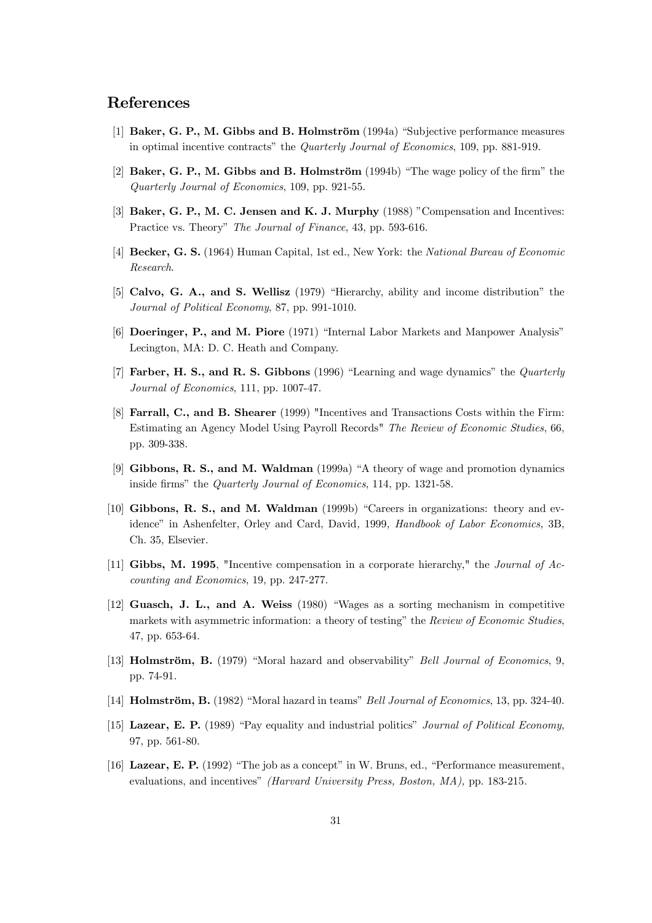# References

- [1] Baker, G. P., M. Gibbs and B. Holmström (1994a) "Subjective performance measures in optimal incentive contracts" the Quarterly Journal of Economics, 109, pp. 881-919.
- [2] Baker, G. P., M. Gibbs and B. Holmström (1994b) "The wage policy of the firm" the Quarterly Journal of Economics, 109, pp. 921-55.
- [3] Baker, G. P., M. C. Jensen and K. J. Murphy (1988) "Compensation and Incentives: Practice vs. Theory" The Journal of Finance, 43, pp. 593-616.
- [4] Becker, G. S. (1964) Human Capital, 1st ed., New York: the National Bureau of Economic Research.
- [5] Calvo, G. A., and S. Wellisz (1979) "Hierarchy, ability and income distribution" the Journal of Political Economy, 87, pp. 991-1010.
- [6] Doeringer, P., and M. Piore (1971) "Internal Labor Markets and Manpower Analysis" Lecington, MA: D. C. Heath and Company.
- [7] Farber, H. S., and R. S. Gibbons (1996) "Learning and wage dynamics" the *Quarterly* Journal of Economics, 111, pp. 1007-47.
- [8] Farrall, C., and B. Shearer (1999) "Incentives and Transactions Costs within the Firm: Estimating an Agency Model Using Payroll Records" The Review of Economic Studies, 66, pp. 309-338.
- [9] Gibbons, R. S., and M. Waldman (1999a) "A theory of wage and promotion dynamics inside firms" the Quarterly Journal of Economics, 114, pp. 1321-58.
- [10] Gibbons, R. S., and M. Waldman (1999b) "Careers in organizations: theory and evidence" in Ashenfelter, Orley and Card, David, 1999, Handbook of Labor Economics, 3B, Ch. 35, Elsevier.
- [11] Gibbs, M. 1995, "Incentive compensation in a corporate hierarchy," the Journal of Accounting and Economics, 19, pp. 247-277.
- [12] Guasch, J. L., and A. Weiss (1980) "Wages as a sorting mechanism in competitive markets with asymmetric information: a theory of testing" the Review of Economic Studies, 47, pp. 653-64.
- [13] **Holmström, B.** (1979) "Moral hazard and observability" Bell Journal of Economics, 9, pp. 74-91.
- [14] Holmström, B. (1982) "Moral hazard in teams" Bell Journal of Economics, 13, pp. 324-40.
- [15] Lazear, E. P. (1989) "Pay equality and industrial politics" *Journal of Political Economy*, 97, pp. 561-80.
- [16] Lazear, E. P. (1992) "The job as a concept" in W. Bruns, ed., "Performance measurement, evaluations, and incentives" (Harvard University Press, Boston, MA), pp. 183-215.